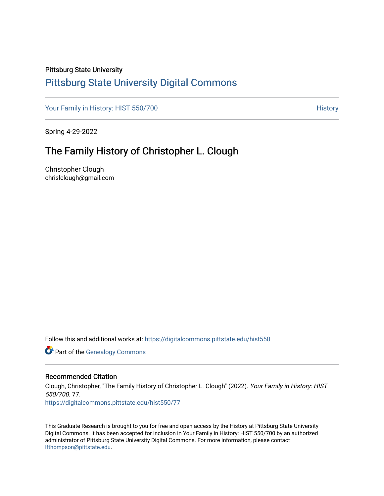## Pittsburg State University

## [Pittsburg State University Digital Commons](https://digitalcommons.pittstate.edu/)

[Your Family in History: HIST 550/700](https://digitalcommons.pittstate.edu/hist550) **History** History

Spring 4-29-2022

# The Family History of Christopher L. Clough

Christopher Clough chrislclough@gmail.com

Follow this and additional works at: [https://digitalcommons.pittstate.edu/hist550](https://digitalcommons.pittstate.edu/hist550?utm_source=digitalcommons.pittstate.edu%2Fhist550%2F77&utm_medium=PDF&utm_campaign=PDFCoverPages)

**Part of the Genealogy Commons** 

## Recommended Citation

Clough, Christopher, "The Family History of Christopher L. Clough" (2022). Your Family in History: HIST 550/700. 77. [https://digitalcommons.pittstate.edu/hist550/77](https://digitalcommons.pittstate.edu/hist550/77?utm_source=digitalcommons.pittstate.edu%2Fhist550%2F77&utm_medium=PDF&utm_campaign=PDFCoverPages) 

This Graduate Research is brought to you for free and open access by the History at Pittsburg State University Digital Commons. It has been accepted for inclusion in Your Family in History: HIST 550/700 by an authorized administrator of Pittsburg State University Digital Commons. For more information, please contact [lfthompson@pittstate.edu.](mailto:lfthompson@pittstate.edu)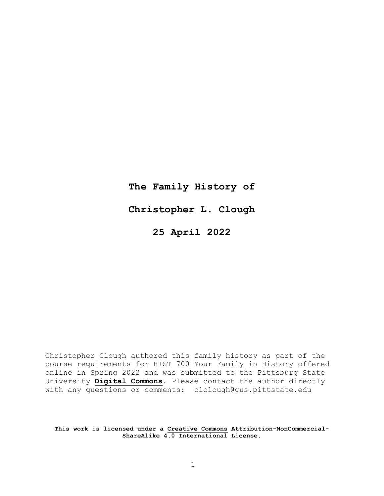**The Family History of Christopher L. Clough 25 April 2022**

Christopher Clough authored this family history as part of the course requirements for HIST 700 Your Family in History offered online in Spring 2022 and was submitted to the Pittsburg State University **[Digital](http://digitalcommons.pittstate.edu/) Commons**. Please contact the author directly with any questions or comments: clclough@gus.pittstate.edu

**This work is licensed under a [Creative](http://www.creativecommons.org/) Commons Attribution-NonCommercial-ShareAlike 4.0 International License.**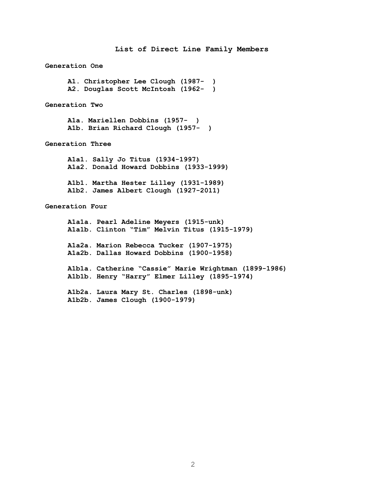**List of Direct Line Family Members Generation One A1. Christopher Lee Clough (1987- ) A2. Douglas Scott McIntosh (1962- ) Generation Two A1a. Mariellen Dobbins (1957- ) A1b. Brian Richard Clough (1957- ) Generation Three A1a1. Sally Jo Titus (1934-1997) A1a2. Donald Howard Dobbins (1933-1999) A1b1. Martha Hester Lilley (1931-1989) A1b2. James Albert Clough (1927-2011) Generation Four A1a1a. Pearl Adeline Meyers (1915-unk) A1a1b. Clinton "Tim" Melvin Titus (1915-1979) A1a2a. Marion Rebecca Tucker (1907-1975) A1a2b. Dallas Howard Dobbins (1900-1958) A1b1a. Catherine "Cassie" Marie Wrightman (1899-1986) A1b1b. Henry "Harry" Elmer Lilley (1895-1974) A1b2a. Laura Mary St. Charles (1898-unk)**

**A1b2b. James Clough (1900-1979)**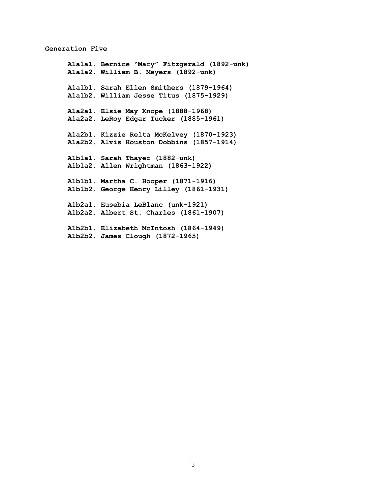#### **Generation Five**

**A1a1a1. Bernice "Mary" Fitzgerald (1892-unk) A1a1a2. William B. Meyers (1892-unk) A1a1b1. Sarah Ellen Smithers (1879-1964) A1a1b2. William Jesse Titus (1875-1929) A1a2a1. Elsie May Knope (1888-1968) A1a2a2. LeRoy Edgar Tucker (1885-1961) A1a2b1. Kizzie Relta McKelvey (1870-1923) A1a2b2. Alvis Houston Dobbins (1857-1914) A1b1a1. Sarah Thayer (1882-unk) A1b1a2. Allen Wrightman (1863-1922) A1b1b1. Martha C. Hooper (1871-1916) A1b1b2. George Henry Lilley (1861-1931) A1b2a1. Eusebia LeBlanc (unk-1921) A1b2a2. Albert St. Charles (1861-1907) A1b2b1. Elizabeth McIntosh (1864-1949) A1b2b2. James Clough (1872-1965)**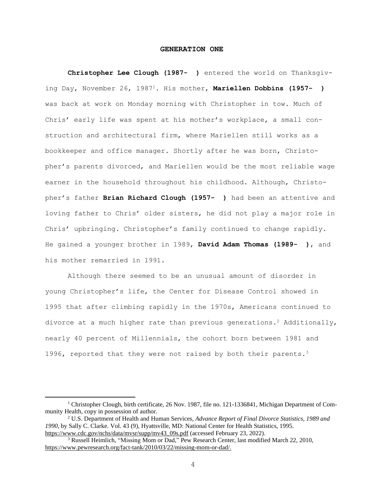#### **GENERATION ONE**

**Christopher Lee Clough (1987- )** entered the world on Thanksgiving Day, November 26, 1987<sup>1</sup>. His mother, **Mariellen Dobbins (1957- )** was back at work on Monday morning with Christopher in tow. Much of Chris' early life was spent at his mother's workplace, a small construction and architectural firm, where Mariellen still works as a bookkeeper and office manager. Shortly after he was born, Christopher's parents divorced, and Mariellen would be the most reliable wage earner in the household throughout his childhood. Although, Christopher's father **Brian Richard Clough (1957- )** had been an attentive and loving father to Chris' older sisters, he did not play a major role in Chris' upbringing. Christopher's family continued to change rapidly. He gained a younger brother in 1989, **David Adam Thomas (1989- )**, and his mother remarried in 1991.

Although there seemed to be an unusual amount of disorder in young Christopher's life, the Center for Disease Control showed in 1995 that after climbing rapidly in the 1970s, Americans continued to divorce at a much higher rate than previous generations.<sup>2</sup> Additionally, nearly 40 percent of Millennials, the cohort born between 1981 and 1996, reported that they were not raised by both their parents.<sup>3</sup>

<sup>&</sup>lt;sup>1</sup> Christopher Clough, birth certificate, 26 Nov. 1987, file no. 121-1336841, Michigan Department of Community Health, copy in possession of author.

<sup>2</sup> U.S. Department of Health and Human Services, *Advance Report of Final Divorce Statistics, 1989 and 1990,* by Sally C. Clarke. Vol. 43 (9), Hyattsville, MD: National Center for Health Statistics, 1995. [https://www.cdc.gov/nchs/data/mvsr/supp/mv43\\_09s.pdf](https://www.cdc.gov/nchs/data/mvsr/supp/mv43_09s.pdf) (accessed February 23, 2022).

<sup>&</sup>lt;sup>3</sup> Russell Heimlich, "Missing Mom or Dad," Pew Research Center, last modified March 22, 2010, [https://www.pewresearch.org/fact-tank/2010/03/22/missing-mom-or-dad/.](https://www.pewresearch.org/fact-tank/2010/03/22/missing-mom-or-dad/)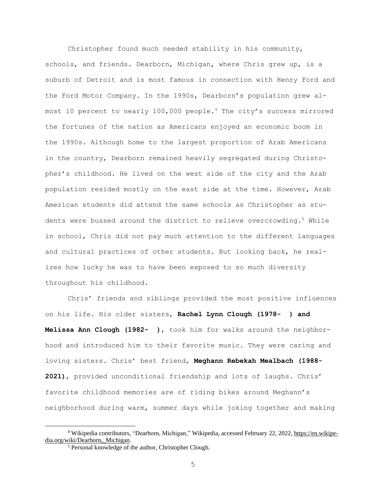Christopher found much needed stability in his community, schools, and friends. Dearborn, Michigan, where Chris grew up, is a suburb of Detroit and is most famous in connection with Henry Ford and the Ford Motor Company. In the 1990s, Dearborn's population grew almost 10 percent to nearly 100,000 people.<sup>4</sup> The city's success mirrored the fortunes of the nation as Americans enjoyed an economic boom in the 1990s. Although home to the largest proportion of Arab Americans in the country, Dearborn remained heavily segregated during Christopher's childhood. He lived on the west side of the city and the Arab population resided mostly on the east side at the time. However, Arab American students did attend the same schools as Christopher as students were bussed around the district to relieve overcrowding.<sup>5</sup> While in school, Chris did not pay much attention to the different languages and cultural practices of other students. But looking back, he realizes how lucky he was to have been exposed to so much diversity throughout his childhood.

Chris' friends and siblings provided the most positive influences on his life. His older sisters, **Rachel Lynn Clough (1978- ) and Melissa Ann Clough (1982- )**, took him for walks around the neighborhood and introduced him to their favorite music. They were caring and loving sisters. Chris' best friend, **Meghann Rebekah Mealbach (1988- 2021)**, provided unconditional friendship and lots of laughs. Chris' favorite childhood memories are of riding bikes around Meghann's neighborhood during warm, summer days while joking together and making

<sup>&</sup>lt;sup>4</sup> Wikipedia contributors, "Dearborn, Michigan," Wikipedia, accessed February 22, 2022, [https://en.wikipe](https://en.wikipedia.org/wiki/Dearborn,_Michigan)dia.org/wiki/Dearborn, Michigan.

<sup>5</sup> Personal knowledge of the author, Christopher Clough.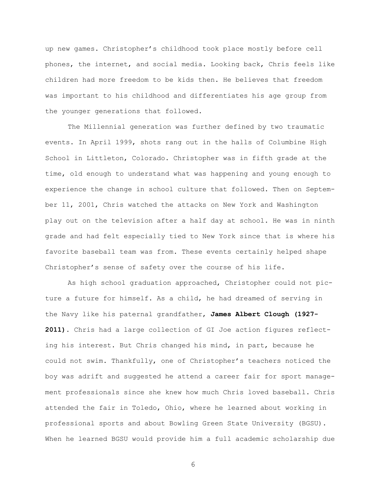up new games. Christopher's childhood took place mostly before cell phones, the internet, and social media. Looking back, Chris feels like children had more freedom to be kids then. He believes that freedom was important to his childhood and differentiates his age group from the younger generations that followed.

The Millennial generation was further defined by two traumatic events. In April 1999, shots rang out in the halls of Columbine High School in Littleton, Colorado. Christopher was in fifth grade at the time, old enough to understand what was happening and young enough to experience the change in school culture that followed. Then on September 11, 2001, Chris watched the attacks on New York and Washington play out on the television after a half day at school. He was in ninth grade and had felt especially tied to New York since that is where his favorite baseball team was from. These events certainly helped shape Christopher's sense of safety over the course of his life.

As high school graduation approached, Christopher could not picture a future for himself. As a child, he had dreamed of serving in the Navy like his paternal grandfather, **James Albert Clough (1927- 2011)**. Chris had a large collection of GI Joe action figures reflecting his interest. But Chris changed his mind, in part, because he could not swim. Thankfully, one of Christopher's teachers noticed the boy was adrift and suggested he attend a career fair for sport management professionals since she knew how much Chris loved baseball. Chris attended the fair in Toledo, Ohio, where he learned about working in professional sports and about Bowling Green State University (BGSU). When he learned BGSU would provide him a full academic scholarship due

6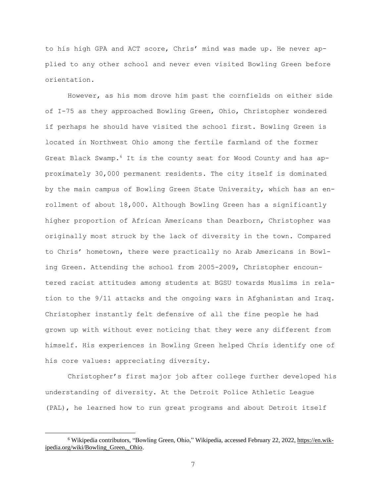to his high GPA and ACT score, Chris' mind was made up. He never applied to any other school and never even visited Bowling Green before orientation.

However, as his mom drove him past the cornfields on either side of I-75 as they approached Bowling Green, Ohio, Christopher wondered if perhaps he should have visited the school first. Bowling Green is located in Northwest Ohio among the fertile farmland of the former Great Black Swamp.<sup>6</sup> It is the county seat for Wood County and has approximately 30,000 permanent residents. The city itself is dominated by the main campus of Bowling Green State University, which has an enrollment of about 18,000. Although Bowling Green has a significantly higher proportion of African Americans than Dearborn, Christopher was originally most struck by the lack of diversity in the town. Compared to Chris' hometown, there were practically no Arab Americans in Bowling Green. Attending the school from 2005-2009, Christopher encountered racist attitudes among students at BGSU towards Muslims in relation to the 9/11 attacks and the ongoing wars in Afghanistan and Iraq. Christopher instantly felt defensive of all the fine people he had grown up with without ever noticing that they were any different from himself. His experiences in Bowling Green helped Chris identify one of his core values: appreciating diversity.

Christopher's first major job after college further developed his understanding of diversity. At the Detroit Police Athletic League (PAL), he learned how to run great programs and about Detroit itself

<sup>&</sup>lt;sup>6</sup> Wikipedia contributors, "Bowling Green, Ohio," Wikipedia, accessed February 22, 2022, [https://en.wik](https://en.wikipedia.org/wiki/Bowling_Green,_Ohio)[ipedia.org/wiki/Bowling\\_Green,\\_Ohio.](https://en.wikipedia.org/wiki/Bowling_Green,_Ohio)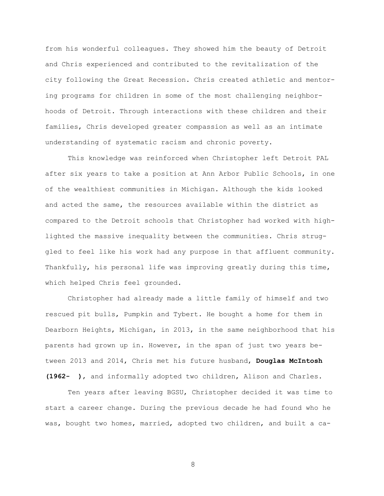from his wonderful colleagues. They showed him the beauty of Detroit and Chris experienced and contributed to the revitalization of the city following the Great Recession. Chris created athletic and mentoring programs for children in some of the most challenging neighborhoods of Detroit. Through interactions with these children and their families, Chris developed greater compassion as well as an intimate understanding of systematic racism and chronic poverty.

This knowledge was reinforced when Christopher left Detroit PAL after six years to take a position at Ann Arbor Public Schools, in one of the wealthiest communities in Michigan. Although the kids looked and acted the same, the resources available within the district as compared to the Detroit schools that Christopher had worked with highlighted the massive inequality between the communities. Chris struggled to feel like his work had any purpose in that affluent community. Thankfully, his personal life was improving greatly during this time, which helped Chris feel grounded.

Christopher had already made a little family of himself and two rescued pit bulls, Pumpkin and Tybert. He bought a home for them in Dearborn Heights, Michigan, in 2013, in the same neighborhood that his parents had grown up in. However, in the span of just two years between 2013 and 2014, Chris met his future husband, **Douglas McIntosh (1962- )**, and informally adopted two children, Alison and Charles.

Ten years after leaving BGSU, Christopher decided it was time to start a career change. During the previous decade he had found who he was, bought two homes, married, adopted two children, and built a ca-

8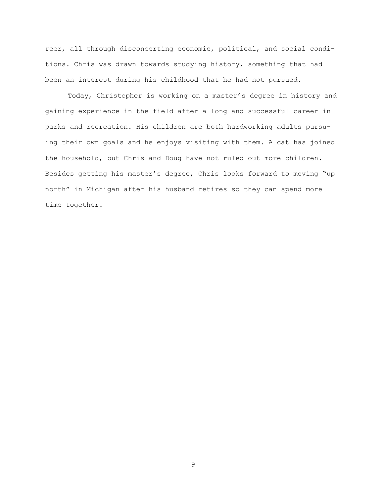reer, all through disconcerting economic, political, and social conditions. Chris was drawn towards studying history, something that had been an interest during his childhood that he had not pursued.

Today, Christopher is working on a master's degree in history and gaining experience in the field after a long and successful career in parks and recreation. His children are both hardworking adults pursuing their own goals and he enjoys visiting with them. A cat has joined the household, but Chris and Doug have not ruled out more children. Besides getting his master's degree, Chris looks forward to moving "up north" in Michigan after his husband retires so they can spend more time together.

9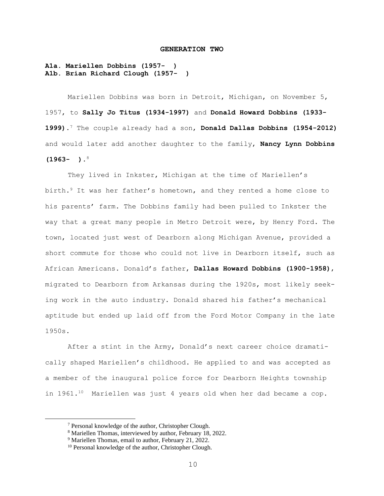#### **GENERATION TWO**

### **A1a. Mariellen Dobbins (1957- ) A1b. Brian Richard Clough (1957- )**

Mariellen Dobbins was born in Detroit, Michigan, on November 5, 1957, to **Sally Jo Titus (1934-1997)** and **Donald Howard Dobbins (1933- 1999)**. <sup>7</sup> The couple already had a son, **Donald Dallas Dobbins (1954-2012)** and would later add another daughter to the family, **Nancy Lynn Dobbins (1963- )**. 8

They lived in Inkster, Michigan at the time of Mariellen's birth.<sup>9</sup> It was her father's hometown, and they rented a home close to his parents' farm. The Dobbins family had been pulled to Inkster the way that a great many people in Metro Detroit were, by Henry Ford. The town, located just west of Dearborn along Michigan Avenue, provided a short commute for those who could not live in Dearborn itself, such as African Americans. Donald's father, **Dallas Howard Dobbins (1900-1958)**, migrated to Dearborn from Arkansas during the 1920s, most likely seeking work in the auto industry. Donald shared his father's mechanical aptitude but ended up laid off from the Ford Motor Company in the late 1950s.

After a stint in the Army, Donald's next career choice dramatically shaped Mariellen's childhood. He applied to and was accepted as a member of the inaugural police force for Dearborn Heights township in 1961.<sup>10</sup> Mariellen was just 4 years old when her dad became a cop.

<sup>7</sup> Personal knowledge of the author, Christopher Clough.

<sup>8</sup> Mariellen Thomas, interviewed by author, February 18, 2022.

<sup>&</sup>lt;sup>9</sup> Mariellen Thomas, email to author, February 21, 2022.

<sup>&</sup>lt;sup>10</sup> Personal knowledge of the author, Christopher Clough.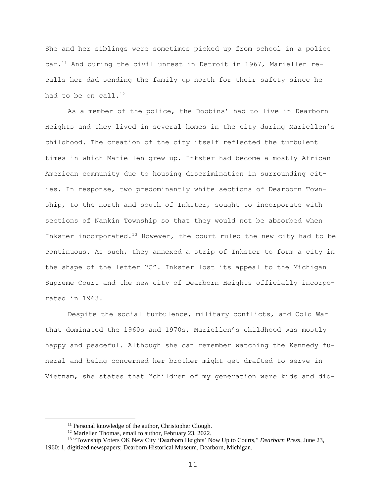She and her siblings were sometimes picked up from school in a police  $car.^{11}$  And during the civil unrest in Detroit in 1967, Mariellen recalls her dad sending the family up north for their safety since he had to be on call. $^{12}$ 

As a member of the police, the Dobbins' had to live in Dearborn Heights and they lived in several homes in the city during Mariellen's childhood. The creation of the city itself reflected the turbulent times in which Mariellen grew up. Inkster had become a mostly African American community due to housing discrimination in surrounding cities. In response, two predominantly white sections of Dearborn Township, to the north and south of Inkster, sought to incorporate with sections of Nankin Township so that they would not be absorbed when Inkster incorporated.<sup>13</sup> However, the court ruled the new city had to be continuous. As such, they annexed a strip of Inkster to form a city in the shape of the letter "C". Inkster lost its appeal to the Michigan Supreme Court and the new city of Dearborn Heights officially incorporated in 1963.

Despite the social turbulence, military conflicts, and Cold War that dominated the 1960s and 1970s, Mariellen's childhood was mostly happy and peaceful. Although she can remember watching the Kennedy funeral and being concerned her brother might get drafted to serve in Vietnam, she states that "children of my generation were kids and did-

<sup>&</sup>lt;sup>11</sup> Personal knowledge of the author, Christopher Clough.

<sup>&</sup>lt;sup>12</sup> Mariellen Thomas, email to author, February 23, 2022.

<sup>13</sup> "Township Voters OK New City 'Dearborn Heights' Now Up to Courts," *Dearborn Press*, June 23, 1960: 1, digitized newspapers; Dearborn Historical Museum, Dearborn, Michigan.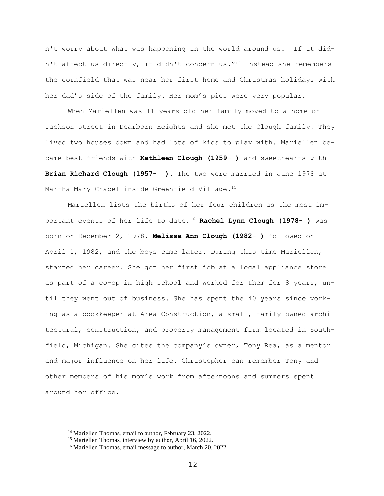n't worry about what was happening in the world around us. If it didn't affect us directly, it didn't concern us."<sup>14</sup> Instead she remembers the cornfield that was near her first home and Christmas holidays with her dad's side of the family. Her mom's pies were very popular.

When Mariellen was 11 years old her family moved to a home on Jackson street in Dearborn Heights and she met the Clough family. They lived two houses down and had lots of kids to play with. Mariellen became best friends with **Kathleen Clough (1959- )** and sweethearts with **Brian Richard Clough (1957- ).** The two were married in June 1978 at Martha-Mary Chapel inside Greenfield Village. 15

Mariellen lists the births of her four children as the most important events of her life to date.<sup>16</sup> **Rachel Lynn Clough (1978- )** was born on December 2, 1978. **Melissa Ann Clough (1982- )** followed on April 1, 1982, and the boys came later. During this time Mariellen, started her career. She got her first job at a local appliance store as part of a co-op in high school and worked for them for 8 years, until they went out of business. She has spent the 40 years since working as a bookkeeper at Area Construction, a small, family-owned architectural, construction, and property management firm located in Southfield, Michigan. She cites the company's owner, Tony Rea, as a mentor and major influence on her life. Christopher can remember Tony and other members of his mom's work from afternoons and summers spent around her office.

<sup>&</sup>lt;sup>14</sup> Mariellen Thomas, email to author, February 23, 2022.

<sup>&</sup>lt;sup>15</sup> Mariellen Thomas, interview by author, April 16, 2022.

<sup>&</sup>lt;sup>16</sup> Mariellen Thomas, email message to author, March 20, 2022.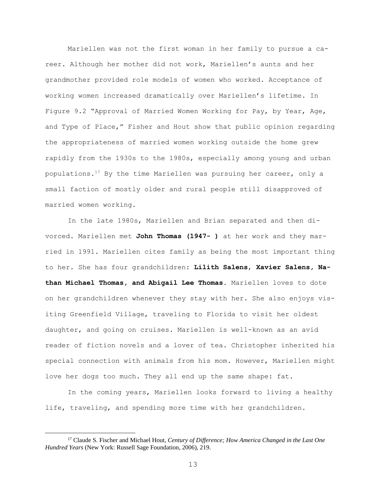Mariellen was not the first woman in her family to pursue a career. Although her mother did not work, Mariellen's aunts and her grandmother provided role models of women who worked. Acceptance of working women increased dramatically over Mariellen's lifetime. In Figure 9.2 "Approval of Married Women Working for Pay, by Year, Age, and Type of Place," Fisher and Hout show that public opinion regarding the appropriateness of married women working outside the home grew rapidly from the 1930s to the 1980s, especially among young and urban populations.<sup>17</sup> By the time Mariellen was pursuing her career, only a small faction of mostly older and rural people still disapproved of married women working.

In the late 1980s, Mariellen and Brian separated and then divorced. Mariellen met **John Thomas (1947- )** at her work and they married in 1991. Mariellen cites family as being the most important thing to her. She has four grandchildren: **Lilith Salens**, **Xavier Salens, Nathan Michael Thomas, and Abigail Lee Thomas**. Mariellen loves to dote on her grandchildren whenever they stay with her. She also enjoys visiting Greenfield Village, traveling to Florida to visit her oldest daughter, and going on cruises. Mariellen is well-known as an avid reader of fiction novels and a lover of tea. Christopher inherited his special connection with animals from his mom. However, Mariellen might love her dogs too much. They all end up the same shape: fat.

In the coming years, Mariellen looks forward to living a healthy life, traveling, and spending more time with her grandchildren.

<sup>17</sup> Claude S. Fischer and Michael Hout, *Century of Difference; How America Changed in the Last One Hundred Years* (New York: Russell Sage Foundation, 2006), 219.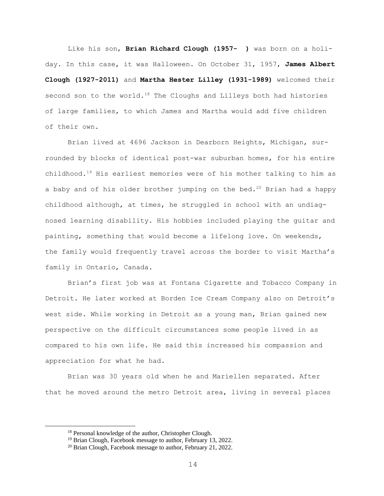Like his son, **Brian Richard Clough (1957- )** was born on a holiday. In this case, it was Halloween. On October 31, 1957, **James Albert Clough (1927-2011)** and **Martha Hester Lilley (1931-1989)** welcomed their second son to the world. $18$  The Cloughs and Lilleys both had histories of large families, to which James and Martha would add five children of their own.

Brian lived at 4696 Jackson in Dearborn Heights, Michigan, surrounded by blocks of identical post-war suburban homes, for his entire childhood. <sup>19</sup> His earliest memories were of his mother talking to him as a baby and of his older brother jumping on the bed.<sup>20</sup> Brian had a happy childhood although, at times, he struggled in school with an undiagnosed learning disability. His hobbies included playing the guitar and painting, something that would become a lifelong love. On weekends, the family would frequently travel across the border to visit Martha's family in Ontario, Canada.

Brian's first job was at Fontana Cigarette and Tobacco Company in Detroit. He later worked at Borden Ice Cream Company also on Detroit's west side. While working in Detroit as a young man, Brian gained new perspective on the difficult circumstances some people lived in as compared to his own life. He said this increased his compassion and appreciation for what he had.

Brian was 30 years old when he and Mariellen separated. After that he moved around the metro Detroit area, living in several places

<sup>18</sup> Personal knowledge of the author, Christopher Clough.

<sup>&</sup>lt;sup>19</sup> Brian Clough, Facebook message to author, February 13, 2022.

<sup>&</sup>lt;sup>20</sup> Brian Clough, Facebook message to author, February 21, 2022.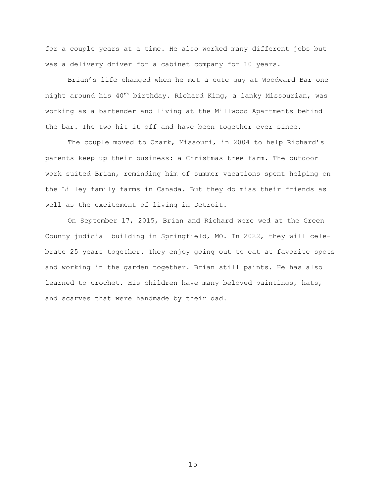for a couple years at a time. He also worked many different jobs but was a delivery driver for a cabinet company for 10 years.

Brian's life changed when he met a cute guy at Woodward Bar one night around his 40th birthday. Richard King, a lanky Missourian, was working as a bartender and living at the Millwood Apartments behind the bar. The two hit it off and have been together ever since.

The couple moved to Ozark, Missouri, in 2004 to help Richard's parents keep up their business: a Christmas tree farm. The outdoor work suited Brian, reminding him of summer vacations spent helping on the Lilley family farms in Canada. But they do miss their friends as well as the excitement of living in Detroit.

On September 17, 2015, Brian and Richard were wed at the Green County judicial building in Springfield, MO. In 2022, they will celebrate 25 years together. They enjoy going out to eat at favorite spots and working in the garden together. Brian still paints. He has also learned to crochet. His children have many beloved paintings, hats, and scarves that were handmade by their dad.

15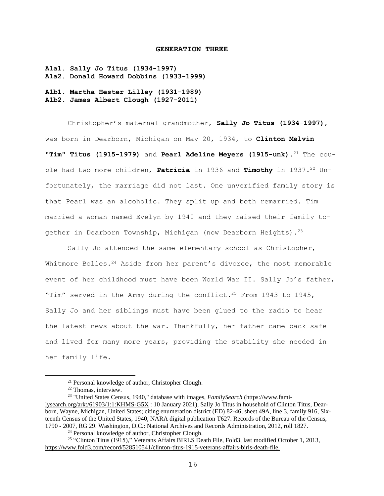#### **GENERATION THREE**

**A1a1. Sally Jo Titus (1934-1997) A1a2. Donald Howard Dobbins (1933-1999)**

**A1b1. Martha Hester Lilley (1931-1989) A1b2. James Albert Clough (1927-2011)**

Christopher's maternal grandmother, **Sally Jo Titus (1934-1997)**, was born in Dearborn, Michigan on May 20, 1934, to **Clinton Melvin "Tim" Titus (1915-1979)** and **Pearl Adeline Meyers (1915-unk)**. <sup>21</sup> The couple had two more children, **Patricia** in 1936 and **Timothy** in 1937.<sup>22</sup> Unfortunately, the marriage did not last. One unverified family story is that Pearl was an alcoholic. They split up and both remarried. Tim married a woman named Evelyn by 1940 and they raised their family together in Dearborn Township, Michigan (now Dearborn Heights).<sup>23</sup>

Sally Jo attended the same elementary school as Christopher, Whitmore Bolles.<sup>24</sup> Aside from her parent's divorce, the most memorable event of her childhood must have been World War II. Sally Jo's father, "Tim" served in the Army during the conflict.<sup>25</sup> From 1943 to 1945, Sally Jo and her siblings must have been glued to the radio to hear the latest news about the war. Thankfully, her father came back safe and lived for many more years, providing the stability she needed in her family life.

<sup>23</sup> "United States Census, 1940," database with images, *FamilySearch* [\(https://www.fami](https://www.familysearch.org/ark:/61903/1:1:KHMS-G5X)[lysearch.org/ark:/61903/1:1:KHMS-G5X](https://www.familysearch.org/ark:/61903/1:1:KHMS-G5X) : 10 January 2021), Sally Jo Titus in household of Clinton Titus, Dearborn, Wayne, Michigan, United States; citing enumeration district (ED) 82-46, sheet 49A, line 3, family 916, Sixteenth Census of the United States, 1940, NARA digital publication T627. Records of the Bureau of the Census, 1790 - 2007, RG 29. Washington, D.C.: National Archives and Records Administration, 2012, roll 1827.

<sup>24</sup> Personal knowledge of author, Christopher Clough.

<sup>25</sup> "Clinton Titus (1915)," Veterans Affairs BIRLS Death File, Fold3, last modified October 1, 2013, <https://www.fold3.com/record/528510541/clinton-titus-1915-veterans-affairs-birls-death-file.>

<sup>21</sup> Personal knowledge of author, Christopher Clough.

<sup>22</sup> Thomas, interview.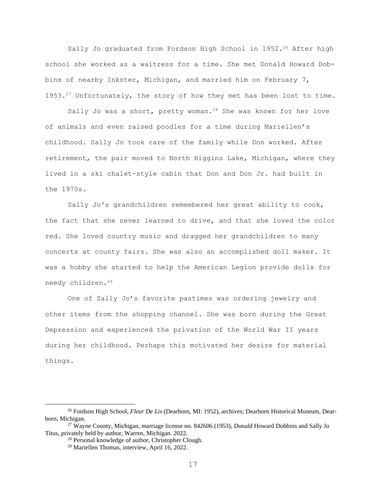Sally Jo graduated from Fordson High School in 1952.<sup>26</sup> After high school she worked as a waitress for a time. She met Donald Howard Dobbins of nearby Inkster, Michigan, and married him on February 7, 1953.<sup>27</sup> Unfortunately, the story of how they met has been lost to time.

Sally Jo was a short, pretty woman.<sup>28</sup> She was known for her love of animals and even raised poodles for a time during Mariellen's childhood. Sally Jo took care of the family while Don worked. After retirement, the pair moved to North Higgins Lake, Michigan, where they lived in a ski chalet-style cabin that Don and Don Jr. had built in the 1970s.

Sally Jo's grandchildren remembered her great ability to cook, the fact that she never learned to drive, and that she loved the color red. She loved country music and dragged her grandchildren to many concerts at county fairs. She was also an accomplished doll maker. It was a hobby she started to help the American Legion provide dolls for needy children.<sup>29</sup>

One of Sally Jo's favorite pastimes was ordering jewelry and other items from the shopping channel. She was born during the Great Depression and experienced the privation of the World War II years during her childhood. Perhaps this motivated her desire for material things.

<sup>26</sup> Fordson High School, *Fleur De Lis* (Dearborn, MI: 1952), archives; Dearborn Historical Museum, Dearborn, Michigan.

<sup>&</sup>lt;sup>27</sup> Wayne County, Michigan, marriage license no. 842606 (1953), Donald Howard Dobbins and Sally Jo Titus, privately held by author, Warren, Michigan. 2022.

<sup>28</sup> Personal knowledge of author, Christopher Clough.

<sup>29</sup> Mariellen Thomas, interview, April 16, 2022.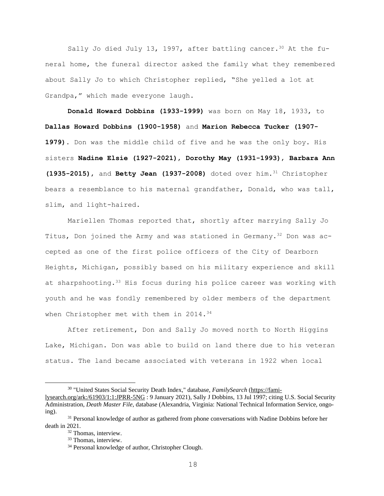Sally Jo died July 13, 1997, after battling cancer.<sup>30</sup> At the funeral home, the funeral director asked the family what they remembered about Sally Jo to which Christopher replied, "She yelled a lot at Grandpa," which made everyone laugh.

**Donald Howard Dobbins (1933-1999)** was born on May 18, 1933, to **Dallas Howard Dobbins (1900-1958)** and **Marion Rebecca Tucker (1907- 1979)**. Don was the middle child of five and he was the only boy. His sisters **Nadine Elsie (1927-2021)**, **Dorothy May (1931-1993)**, **Barbara Ann (1935-2015)**, and **Betty Jean (1937-2008)** doted over him.<sup>31</sup> Christopher bears a resemblance to his maternal grandfather, Donald, who was tall, slim, and light-haired.

Mariellen Thomas reported that, shortly after marrying Sally Jo Titus, Don joined the Army and was stationed in Germany.<sup>32</sup> Don was accepted as one of the first police officers of the City of Dearborn Heights, Michigan, possibly based on his military experience and skill at sharpshooting.<sup>33</sup> His focus during his police career was working with youth and he was fondly remembered by older members of the department when Christopher met with them in 2014.<sup>34</sup>

After retirement, Don and Sally Jo moved north to North Higgins Lake, Michigan. Don was able to build on land there due to his veteran status. The land became associated with veterans in 1922 when local

<sup>&</sup>lt;sup>30</sup> "United States Social Security Death Index," database, *FamilySearch* [\(https://fami-](https://familysearch.org/ark:/61903/1:1:JPRR-5NG)

[lysearch.org/ark:/61903/1:1:JPRR-5NG](https://familysearch.org/ark:/61903/1:1:JPRR-5NG) : 9 January 2021), Sally J Dobbins, 13 Jul 1997; citing U.S. Social Security Administration, *Death Master File*, database (Alexandria, Virginia: National Technical Information Service, ongoing).

<sup>&</sup>lt;sup>31</sup> Personal knowledge of author as gathered from phone conversations with Nadine Dobbins before her death in 2021.

<sup>&</sup>lt;sup>32</sup> Thomas, interview.

<sup>&</sup>lt;sup>33</sup> Thomas, interview.

<sup>34</sup> Personal knowledge of author, Christopher Clough.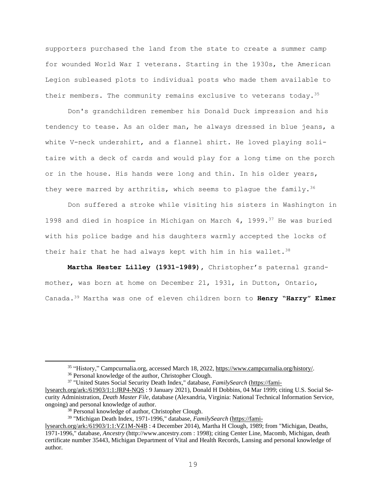supporters purchased the land from the state to create a summer camp for wounded World War I veterans. Starting in the 1930s, the American Legion subleased plots to individual posts who made them available to their members. The community remains exclusive to veterans today.<sup>35</sup>

Don's grandchildren remember his Donald Duck impression and his tendency to tease. As an older man, he always dressed in blue jeans, a white V-neck undershirt, and a flannel shirt. He loved playing solitaire with a deck of cards and would play for a long time on the porch or in the house. His hands were long and thin. In his older years, they were marred by arthritis, which seems to plaque the family.<sup>36</sup>

Don suffered a stroke while visiting his sisters in Washington in 1998 and died in hospice in Michigan on March 4, 1999. $37$  He was buried with his police badge and his daughters warmly accepted the locks of their hair that he had always kept with him in his wallet. $38$ 

**Martha Hester Lilley (1931-1989),** Christopher's paternal grandmother, was born at home on December 21, 1931, in Dutton, Ontario, Canada. <sup>39</sup> Martha was one of eleven children born to **Henry "Harry" Elmer**

<sup>&</sup>lt;sup>35</sup> "History," Campcurnalia.org, accessed March 18, 2022, [https://www.campcurnalia.org/history/.](https://www.campcurnalia.org/history/)

<sup>36</sup> Personal knowledge of the author, Christopher Clough.

<sup>37</sup> "United States Social Security Death Index," database, *FamilySearch* [\(https://fami-](https://familysearch.org/ark:/61903/1:1:JRP4-NQS)

[lysearch.org/ark:/61903/1:1:JRP4-NQS](https://familysearch.org/ark:/61903/1:1:JRP4-NQS) : 9 January 2021), Donald H Dobbins, 04 Mar 1999; citing U.S. Social Security Administration, *Death Master File*, database (Alexandria, Virginia: National Technical Information Service, ongoing) and personal knowledge of author.

<sup>38</sup> Personal knowledge of author, Christopher Clough.

<sup>39</sup> "Michigan Death Index, 1971-1996," database, *FamilySearch* [\(https://fami-](https://familysearch.org/ark:/61903/1:1:VZ1M-N4B)

[lysearch.org/ark:/61903/1:1:VZ1M-N4B](https://familysearch.org/ark:/61903/1:1:VZ1M-N4B) : 4 December 2014), Martha H Clough, 1989; from "Michigan, Deaths, 1971-1996," database, *Ancestry* (http://www.ancestry.com : 1998); citing Center Line, Macomb, Michigan, death certificate number 35443, Michigan Department of Vital and Health Records, Lansing and personal knowledge of author.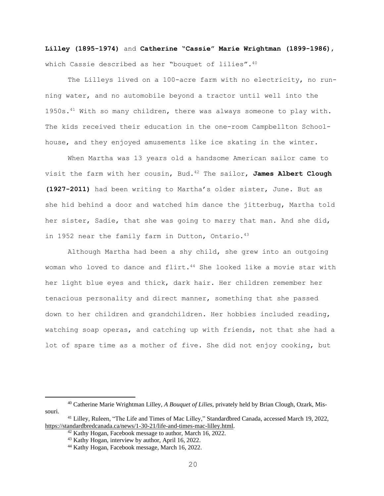**Lilley (1895-1974)** and **Catherine "Cassie" Marie Wrightman (1899-1986)**, which Cassie described as her "bouquet of lilies". 40

The Lilleys lived on a 100-acre farm with no electricity, no running water, and no automobile beyond a tractor until well into the 1950s.<sup>41</sup> With so many children, there was always someone to play with. The kids received their education in the one-room Campbellton Schoolhouse, and they enjoyed amusements like ice skating in the winter.

When Martha was 13 years old a handsome American sailor came to visit the farm with her cousin, Bud.<sup>42</sup> The sailor, **James Albert Clough (1927-2011)** had been writing to Martha's older sister, June. But as she hid behind a door and watched him dance the jitterbug, Martha told her sister, Sadie, that she was going to marry that man. And she did, in 1952 near the family farm in Dutton, Ontario.<sup>43</sup>

Although Martha had been a shy child, she grew into an outgoing woman who loved to dance and flirt.<sup>44</sup> She looked like a movie star with her light blue eyes and thick, dark hair. Her children remember her tenacious personality and direct manner, something that she passed down to her children and grandchildren. Her hobbies included reading, watching soap operas, and catching up with friends, not that she had a lot of spare time as a mother of five. She did not enjoy cooking, but

<sup>40</sup> Catherine Marie Wrightman Lilley, *A Bouquet of Lilies,* privately held by Brian Clough, Ozark, Missouri.

<sup>41</sup> Lilley, Ruleen, "The Life and Times of Mac Lilley," Standardbred Canada, accessed March 19, 2022, [https://standardbredcanada.ca/news/1-30-21/life-and-times-mac-lilley.html.](https://standardbredcanada.ca/news/1-30-21/life-and-times-mac-lilley.html)

 $42$  Kathy Hogan, Facebook message to author, March 16, 2022.

<sup>43</sup> Kathy Hogan, interview by author, April 16, 2022.

<sup>44</sup> Kathy Hogan, Facebook message, March 16, 2022.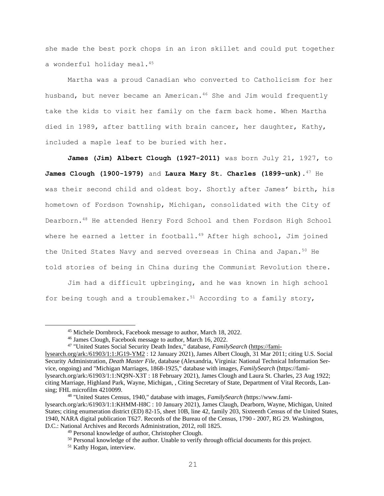she made the best pork chops in an iron skillet and could put together a wonderful holiday meal.<sup>45</sup>

Martha was a proud Canadian who converted to Catholicism for her husband, but never became an American.<sup>46</sup> She and Jim would frequently take the kids to visit her family on the farm back home. When Martha died in 1989, after battling with brain cancer, her daughter, Kathy, included a maple leaf to be buried with her.

**James (Jim) Albert Clough (1927-2011)** was born July 21, 1927, to **James Clough (1900-1979)** and **Laura Mary St. Charles (1899-unk)**. <sup>47</sup> He was their second child and oldest boy. Shortly after James' birth, his hometown of Fordson Township, Michigan, consolidated with the City of Dearborn.<sup>48</sup> He attended Henry Ford School and then Fordson High School where he earned a letter in football. <sup>49</sup> After high school, Jim joined the United States Navy and served overseas in China and Japan.<sup>50</sup> He told stories of being in China during the Communist Revolution there.

Jim had a difficult upbringing, and he was known in high school for being tough and a troublemaker.<sup>51</sup> According to a family story,

<sup>45</sup> Michele Dornbrock, Facebook message to author, March 18, 2022.

<sup>46</sup> James Clough, Facebook message to author, March 16, 2022.

<sup>47</sup> "United States Social Security Death Index," database, *FamilySearch* [\(https://fami-](https://familysearch.org/ark:/61903/1:1:JG19-YM2)

[lysearch.org/ark:/61903/1:1:JG19-YM2](https://familysearch.org/ark:/61903/1:1:JG19-YM2) : 12 January 2021), James Albert Clough, 31 Mar 2011; citing U.S. Social Security Administration, *Death Master File*, database (Alexandria, Virginia: National Technical Information Service, ongoing) and "Michigan Marriages, 1868-1925," database with images, *FamilySearch* (https://familysearch.org/ark:/61903/1:1:NQ9N-X3T : 18 February 2021), James Clough and Laura St. Charles, 23 Aug 1922; citing Marriage, Highland Park, Wayne, Michigan, , Citing Secretary of State, Department of Vital Records, Lansing; FHL microfilm 4210099.

<sup>48</sup> "United States Census, 1940," database with images, *FamilySearch* (https://www.familysearch.org/ark:/61903/1:1:KHMM-H8C : 10 January 2021), James Claugh, Dearborn, Wayne, Michigan, United States; citing enumeration district (ED) 82-15, sheet 10B, line 42, family 203, Sixteenth Census of the United States, 1940, NARA digital publication T627. Records of the Bureau of the Census, 1790 - 2007, RG 29. Washington, D.C.: National Archives and Records Administration, 2012, roll 1825.

<sup>49</sup> Personal knowledge of author, Christopher Clough.

 $50$  Personal knowledge of the author. Unable to verify through official documents for this project.

<sup>51</sup> Kathy Hogan, interview.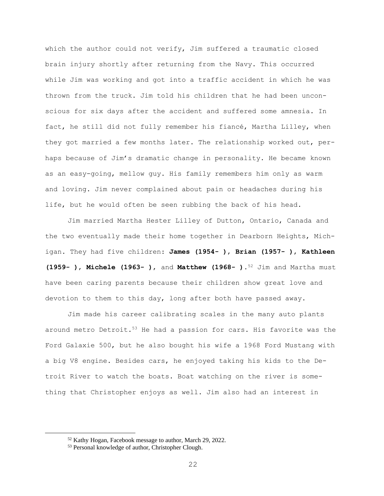which the author could not verify, Jim suffered a traumatic closed brain injury shortly after returning from the Navy. This occurred while Jim was working and got into a traffic accident in which he was thrown from the truck. Jim told his children that he had been unconscious for six days after the accident and suffered some amnesia. In fact, he still did not fully remember his fiancé, Martha Lilley, when they got married a few months later. The relationship worked out, perhaps because of Jim's dramatic change in personality. He became known as an easy-going, mellow guy. His family remembers him only as warm and loving. Jim never complained about pain or headaches during his life, but he would often be seen rubbing the back of his head.

Jim married Martha Hester Lilley of Dutton, Ontario, Canada and the two eventually made their home together in Dearborn Heights, Michigan. They had five children: **James (1954- )**, **Brian (1957- )**, **Kathleen (1959- )**, **Michele (1963- )**, and **Matthew (1968- )**. <sup>52</sup> Jim and Martha must have been caring parents because their children show great love and devotion to them to this day, long after both have passed away.

Jim made his career calibrating scales in the many auto plants around metro Detroit. $53$  He had a passion for cars. His favorite was the Ford Galaxie 500, but he also bought his wife a 1968 Ford Mustang with a big V8 engine. Besides cars, he enjoyed taking his kids to the Detroit River to watch the boats. Boat watching on the river is something that Christopher enjoys as well. Jim also had an interest in

<sup>52</sup> Kathy Hogan, Facebook message to author, March 29, 2022.

<sup>53</sup> Personal knowledge of author, Christopher Clough.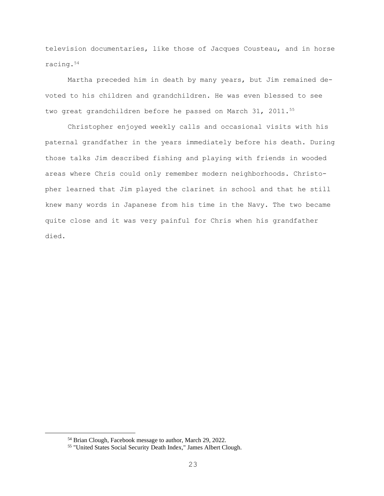television documentaries, like those of Jacques Cousteau, and in horse racing.<sup>54</sup>

Martha preceded him in death by many years, but Jim remained devoted to his children and grandchildren. He was even blessed to see two great grandchildren before he passed on March 31, 2011.<sup>55</sup>

Christopher enjoyed weekly calls and occasional visits with his paternal grandfather in the years immediately before his death. During those talks Jim described fishing and playing with friends in wooded areas where Chris could only remember modern neighborhoods. Christopher learned that Jim played the clarinet in school and that he still knew many words in Japanese from his time in the Navy. The two became quite close and it was very painful for Chris when his grandfather died.

<sup>54</sup> Brian Clough, Facebook message to author, March 29, 2022.

<sup>55</sup> "United States Social Security Death Index," James Albert Clough.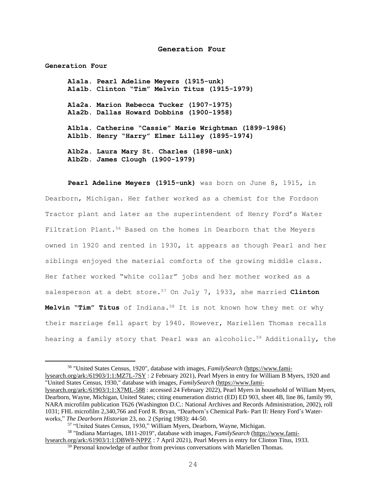#### **Generation Four**

**A1a1a. Pearl Adeline Meyers (1915-unk) A1a1b. Clinton "Tim" Melvin Titus (1915-1979) A1a2a. Marion Rebecca Tucker (1907-1975) A1a2b. Dallas Howard Dobbins (1900-1958) A1b1a. Catherine "Cassie" Marie Wrightman (1899-1986) A1b1b. Henry "Harry" Elmer Lilley (1895-1974) A1b2a. Laura Mary St. Charles (1898-unk) A1b2b. James Clough (1900-1979)**

**Generation Four**

**Pearl Adeline Meyers (1915-unk)** was born on June 8, 1915, in Dearborn, Michigan. Her father worked as a chemist for the Fordson Tractor plant and later as the superintendent of Henry Ford's Water Filtration Plant.<sup>56</sup> Based on the homes in Dearborn that the Meyers owned in 1920 and rented in 1930, it appears as though Pearl and her siblings enjoyed the material comforts of the growing middle class. Her father worked "white collar" jobs and her mother worked as a salesperson at a debt store.<sup>57</sup> On July 7, 1933, she married **Clinton Melvin "Tim" Titus** of Indiana.<sup>58</sup> It is not known how they met or why their marriage fell apart by 1940. However, Mariellen Thomas recalls hearing a family story that Pearl was an alcoholic.<sup>59</sup> Additionally, the

<sup>56</sup> "United States Census, 1920", database with images, *FamilySearch* [\(https://www.fami](https://www.familysearch.org/ark:/61903/1:1:MZ7L-7SY)[lysearch.org/ark:/61903/1:1:MZ7L-7SY](https://www.familysearch.org/ark:/61903/1:1:MZ7L-7SY) : 2 February 2021), Pearl Myers in entry for William B Myers, 1920 and "United States Census, 1930," database with images, *FamilySearch* [\(https://www.fami](https://www.familysearch.org/ark:/61903/1:1:X7ML-588)[lysearch.org/ark:/61903/1:1:X7ML-588](https://www.familysearch.org/ark:/61903/1:1:X7ML-588) : accessed 24 February 2022), Pearl Myers in household of William Myers, Dearborn, Wayne, Michigan, United States; citing enumeration district (ED) ED 903, sheet 4B, line 86, family 99, NARA microfilm publication T626 (Washington D.C.: National Archives and Records Administration, 2002), roll

<sup>1031;</sup> FHL microfilm 2,340,766 and Ford R. Bryan, "Dearborn's Chemical Park- Part II: Henry Ford's Waterworks," *The Dearborn Historian* 23, no. 2 (Spring 1983): 44-50.

<sup>57</sup> "United States Census, 1930," William Myers, Dearborn, Wayne, Michigan.

<sup>58</sup> "Indiana Marriages, 1811-2019", database with images, *FamilySearch* [\(https://www.fami](https://www.familysearch.org/ark:/61903/1:1:DBW8-NPPZ)[lysearch.org/ark:/61903/1:1:DBW8-NPPZ](https://www.familysearch.org/ark:/61903/1:1:DBW8-NPPZ) : 7 April 2021), Pearl Meyers in entry for Clinton Titus, 1933.

<sup>&</sup>lt;sup>59</sup> Personal knowledge of author from previous conversations with Mariellen Thomas.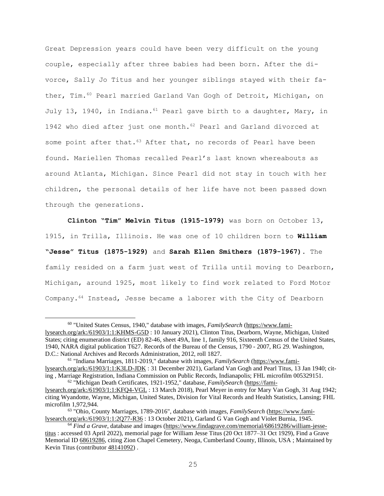Great Depression years could have been very difficult on the young couple, especially after three babies had been born. After the divorce, Sally Jo Titus and her younger siblings stayed with their father, Tim.<sup>60</sup> Pearl married Garland Van Gogh of Detroit, Michigan, on July 13, 1940, in Indiana.  $61$  Pearl gave birth to a daughter, Mary, in 1942 who died after just one month.<sup>62</sup> Pearl and Garland divorced at some point after that.<sup>63</sup> After that, no records of Pearl have been found. Mariellen Thomas recalled Pearl's last known whereabouts as around Atlanta, Michigan. Since Pearl did not stay in touch with her children, the personal details of her life have not been passed down through the generations.

**Clinton "Tim" Melvin Titus (1915-1979)** was born on October 13, 1915, in Trilla, Illinois. He was one of 10 children born to **William "Jesse" Titus (1875-1929)** and **Sarah Ellen Smithers (1879-1967)**. The family resided on a farm just west of Trilla until moving to Dearborn, Michigan, around 1925, most likely to find work related to Ford Motor Company.<sup>64</sup> Instead, Jesse became a laborer with the City of Dearborn

<sup>60</sup> "United States Census, 1940," database with images, *FamilySearch* [\(https://www.fami](https://www.familysearch.org/ark:/61903/1:1:KHMS-G5D)[lysearch.org/ark:/61903/1:1:KHMS-G5D](https://www.familysearch.org/ark:/61903/1:1:KHMS-G5D) : 10 January 2021), Clinton Titus, Dearborn, Wayne, Michigan, United States; citing enumeration district (ED) 82-46, sheet 49A, line 1, family 916, Sixteenth Census of the United States, 1940, NARA digital publication T627. Records of the Bureau of the Census, 1790 - 2007, RG 29. Washington, D.C.: National Archives and Records Administration, 2012, roll 1827.

<sup>61</sup> "Indiana Marriages, 1811-2019," database with images, *FamilySearch* [\(https://www.fami](https://www.familysearch.org/ark:/61903/1:1:K3LD-JDK)[lysearch.org/ark:/61903/1:1:K3LD-JDK](https://www.familysearch.org/ark:/61903/1:1:K3LD-JDK) : 31 December 2021), Garland Van Gogh and Pearl Titus, 13 Jan 1940; citing , Marriage Registration, Indiana Commission on Public Records, Indianapolis; FHL microfilm 005329151. <sup>62</sup> "Michigan Death Certificates, 1921-1952," database, *FamilySearch* [\(https://fami-](https://familysearch.org/ark:/61903/1:1:KFQ4-VGL)

[lysearch.org/ark:/61903/1:1:KFQ4-VGL](https://familysearch.org/ark:/61903/1:1:KFQ4-VGL) : 13 March 2018), Pearl Meyer in entry for Mary Van Gogh, 31 Aug 1942; citing Wyandotte, Wayne, Michigan, United States, Division for Vital Records and Health Statistics, Lansing; FHL microfilm 1,972,944.

<sup>63</sup> "Ohio, County Marriages, 1789-2016", database with images, *FamilySearch* [\(https://www.fami](https://www.familysearch.org/ark:/61903/1:1:2Q77-R36)[lysearch.org/ark:/61903/1:1:2Q77-R36](https://www.familysearch.org/ark:/61903/1:1:2Q77-R36) : 13 October 2021), Garland G Van Gogh and Violet Burnia, 1945.

<sup>64</sup> *Find a Grave*, database and images [\(https://www.findagrave.com/memorial/68619286/william-jesse](https://www.findagrave.com/memorial/68619286/william-jesse-titus)[titus](https://www.findagrave.com/memorial/68619286/william-jesse-titus) : accessed 03 April 2022), memorial page for William Jesse Titus (20 Oct 1877–31 Oct 1929), Find a Grave Memorial ID [68619286,](https://www.findagrave.com/memorial/68619286/william-jesse-titus) citing Zion Chapel Cemetery, Neoga, Cumberland County, Illinois, USA ; Maintained by Kevin Titus (contributor  $48141092$ ).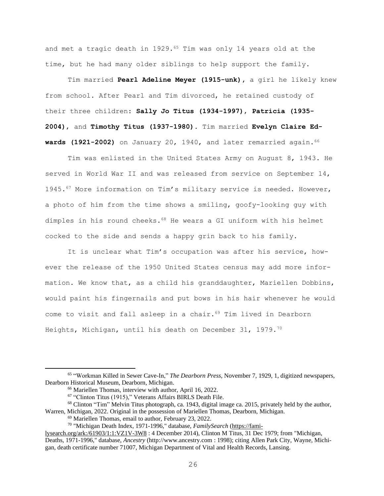and met a tragic death in 1929.<sup>65</sup> Tim was only 14 years old at the time, but he had many older siblings to help support the family.

Tim married **Pearl Adeline Meyer (1915-unk),** a girl he likely knew from school. After Pearl and Tim divorced, he retained custody of their three children: **Sally Jo Titus (1934-1997)**, **Patricia (1935- 2004)**, and **Timothy Titus (1937-1980)**. Tim married **Evelyn Claire Edwards (1921-2002)** on January 20, 1940, and later remarried again. 66

Tim was enlisted in the United States Army on August 8, 1943. He served in World War II and was released from service on September 14, 1945.<sup>67</sup> More information on Tim's military service is needed. However, a photo of him from the time shows a smiling, goofy-looking guy with dimples in his round cheeks.<sup>68</sup> He wears a GI uniform with his helmet cocked to the side and sends a happy grin back to his family.

It is unclear what Tim's occupation was after his service, however the release of the 1950 United States census may add more information. We know that, as a child his granddaughter, Mariellen Dobbins, would paint his fingernails and put bows in his hair whenever he would come to visit and fall asleep in a chair.<sup>69</sup> Tim lived in Dearborn Heights, Michigan, until his death on December 31, 1979. $^{70}$ 

<sup>65</sup> "Workman Killed in Sewer Cave-In," *The Dearborn Press,* November 7, 1929, 1, digitized newspapers, Dearborn Historical Museum, Dearborn, Michigan.

<sup>66</sup> Mariellen Thomas, interview with author, April 16, 2022.

<sup>67</sup> "Clinton Titus (1915)," Veterans Affairs BIRLS Death File.

<sup>68</sup> Clinton "Tim" Melvin Titus photograph, ca. 1943, digital image ca. 2015, privately held by the author, Warren, Michigan, 2022. Original in the possession of Mariellen Thomas, Dearborn, Michigan.

<sup>69</sup> Mariellen Thomas, email to author, February 23, 2022.

<sup>70</sup> "Michigan Death Index, 1971-1996," database, *FamilySearch* [\(https://fami-](https://familysearch.org/ark:/61903/1:1:VZ1V-3W8)

[lysearch.org/ark:/61903/1:1:VZ1V-3W8](https://familysearch.org/ark:/61903/1:1:VZ1V-3W8) : 4 December 2014), Clinton M Titus, 31 Dec 1979; from "Michigan, Deaths, 1971-1996," database, *Ancestry* (http://www.ancestry.com : 1998); citing Allen Park City, Wayne, Michigan, death certificate number 71007, Michigan Department of Vital and Health Records, Lansing.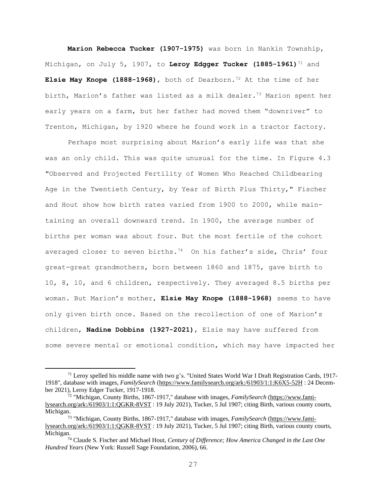**Marion Rebecca Tucker (1907-1975)** was born in Nankin Township, Michigan, on July 5, 1907, to **Leroy Edgger Tucker (1885-1961)**<sup>71</sup> and **Elsie May Knope (1888-1968)**, both of Dearborn.<sup>72</sup> At the time of her birth, Marion's father was listed as a milk dealer.<sup>73</sup> Marion spent her early years on a farm, but her father had moved them "downriver" to Trenton, Michigan, by 1920 where he found work in a tractor factory.

Perhaps most surprising about Marion's early life was that she was an only child. This was quite unusual for the time. In Figure 4.3 "Observed and Projected Fertility of Women Who Reached Childbearing Age in the Twentieth Century, by Year of Birth Plus Thirty," Fischer and Hout show how birth rates varied from 1900 to 2000, while maintaining an overall downward trend. In 1900, the average number of births per woman was about four. But the most fertile of the cohort averaged closer to seven births.<sup>74</sup> On his father's side, Chris' four great-great grandmothers, born between 1860 and 1875, gave birth to 10, 8, 10, and 6 children, respectively. They averaged 8.5 births per woman. But Marion's mother, **Elsie May Knope (1888-1968)** seems to have only given birth once. Based on the recollection of one of Marion's children, **Nadine Dobbins (1927-2021)**, Elsie may have suffered from some severe mental or emotional condition, which may have impacted her

 $71$  Leroy spelled his middle name with two g's. "United States World War I Draft Registration Cards, 1917-1918", database with images, *FamilySearch* [\(https://www.familysearch.org/ark:/61903/1:1:K6X5-52H](https://www.familysearch.org/ark:/61903/1:1:K6X5-52H) : 24 December 2021), Leroy Edger Tucker, 1917-1918.

<sup>72</sup> "Michigan, County Births, 1867-1917," database with images, *FamilySearch* [\(https://www.fami](https://www.familysearch.org/ark:/61903/1:1:QGKR-8VST)[lysearch.org/ark:/61903/1:1:QGKR-8VST](https://www.familysearch.org/ark:/61903/1:1:QGKR-8VST) : 19 July 2021), Tucker, 5 Jul 1907; citing Birth, various county courts, Michigan.

<sup>73</sup> "Michigan, County Births, 1867-1917," database with images, *FamilySearch* [\(https://www.fami](https://www.familysearch.org/ark:/61903/1:1:QGKR-8VST)[lysearch.org/ark:/61903/1:1:QGKR-8VST](https://www.familysearch.org/ark:/61903/1:1:QGKR-8VST) : 19 July 2021), Tucker, 5 Jul 1907; citing Birth, various county courts, Michigan.

<sup>74</sup> Claude S. Fischer and Michael Hout, *Century of Difference; How America Changed in the Last One Hundred Years* (New York: Russell Sage Foundation, 2006), 66.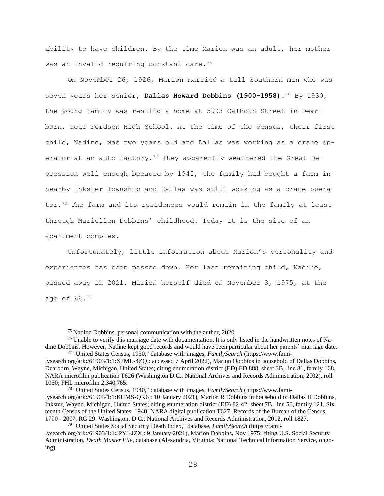ability to have children. By the time Marion was an adult, her mother was an invalid requiring constant care.<sup>75</sup>

On November 26, 1926, Marion married a tall Southern man who was seven years her senior, **Dallas Howard Dobbins (1900-1958)**. <sup>76</sup> By 1930, the young family was renting a home at 5903 Calhoun Street in Dearborn, near Fordson High School. At the time of the census, their first child, Nadine, was two years old and Dallas was working as a crane operator at an auto factory.<sup>77</sup> They apparently weathered the Great Depression well enough because by 1940, the family had bought a farm in nearby Inkster Township and Dallas was still working as a crane operator.<sup>78</sup> The farm and its residences would remain in the family at least through Mariellen Dobbins' childhood. Today it is the site of an apartment complex.

Unfortunately, little information about Marion's personality and experiences has been passed down. Her last remaining child, Nadine, passed away in 2021. Marion herself died on November 3, 1975, at the age of 68.<sup>79</sup>

<sup>78</sup> "United States Census, 1940," database with images, *FamilySearch* [\(https://www.fami-](https://www.familysearch.org/ark:/61903/1:1:KHMS-QK6)

<sup>75</sup> Nadine Dobbins, personal communication with the author, 2020.

<sup>&</sup>lt;sup>76</sup> Unable to verify this marriage date with documentation. It is only listed in the handwritten notes of Nadine Dobbins. However, Nadine kept good records and would have been particular about her parents' marriage date. <sup>77</sup> "United States Census, 1930," database with images, *FamilySearch* [\(https://www.fami-](https://www.familysearch.org/ark:/61903/1:1:X7ML-4ZQ)

[lysearch.org/ark:/61903/1:1:X7ML-4ZQ](https://www.familysearch.org/ark:/61903/1:1:X7ML-4ZQ) : accessed 7 April 2022), Marion Dobbins in household of Dallas Dobbins, Dearborn, Wayne, Michigan, United States; citing enumeration district (ED) ED 888, sheet 3B, line 81, family 168, NARA microfilm publication T626 (Washington D.C.: National Archives and Records Administration, 2002), roll 1030; FHL microfilm 2,340,765.

[lysearch.org/ark:/61903/1:1:KHMS-QK6](https://www.familysearch.org/ark:/61903/1:1:KHMS-QK6) : 10 January 2021), Marion R Dobbins in household of Dallas H Dobbins, Inkster, Wayne, Michigan, United States; citing enumeration district (ED) 82-42, sheet 7B, line 50, family 121, Sixteenth Census of the United States, 1940, NARA digital publication T627. Records of the Bureau of the Census, 1790 - 2007, RG 29. Washington, D.C.: National Archives and Records Administration, 2012, roll 1827. <sup>79</sup> "United States Social Security Death Index," database, *FamilySearch* [\(https://fami-](https://familysearch.org/ark:/61903/1:1:JPYJ-JZX)

[lysearch.org/ark:/61903/1:1:JPYJ-JZX](https://familysearch.org/ark:/61903/1:1:JPYJ-JZX) : 9 January 2021), Marion Dobbins, Nov 1975; citing U.S. Social Security Administration, *Death Master File*, database (Alexandria, Virginia: National Technical Information Service, ongoing).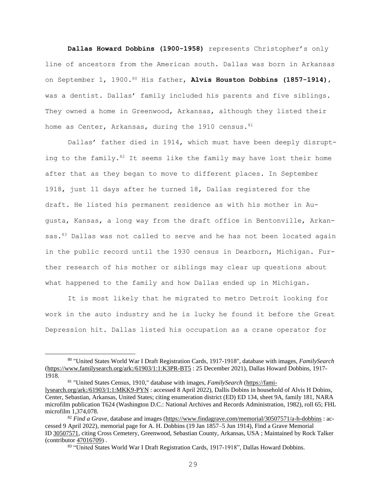**Dallas Howard Dobbins (1900-1958)** represents Christopher's only line of ancestors from the American south. Dallas was born in Arkansas on September 1, 1900. <sup>80</sup> His father, **Alvis Houston Dobbins (1857-1914)**, was a dentist. Dallas' family included his parents and five siblings. They owned a home in Greenwood, Arkansas, although they listed their home as Center, Arkansas, during the 1910 census.  $81$ 

Dallas' father died in 1914, which must have been deeply disrupting to the family. $82$  It seems like the family may have lost their home after that as they began to move to different places. In September 1918, just 11 days after he turned 18, Dallas registered for the draft. He listed his permanent residence as with his mother in Augusta, Kansas, a long way from the draft office in Bentonville, Arkansas.<sup>83</sup> Dallas was not called to serve and he has not been located again in the public record until the 1930 census in Dearborn, Michigan. Further research of his mother or siblings may clear up questions about what happened to the family and how Dallas ended up in Michigan.

It is most likely that he migrated to metro Detroit looking for work in the auto industry and he is lucky he found it before the Great Depression hit. Dallas listed his occupation as a crane operator for

<sup>81</sup> "United States Census, 1910," database with images, *FamilySearch* [\(https://fami-](https://familysearch.org/ark:/61903/1:1:MKK9-PYN)

<sup>80</sup> "United States World War I Draft Registration Cards, 1917-1918", database with images, *FamilySearch* [\(https://www.familysearch.org/ark:/61903/1:1:K3PR-BT5](https://www.familysearch.org/ark:/61903/1:1:K3PR-BT5) : 25 December 2021), Dallas Howard Dobbins, 1917- 1918.

[lysearch.org/ark:/61903/1:1:MKK9-PYN](https://familysearch.org/ark:/61903/1:1:MKK9-PYN) : accessed 8 April 2022), Dallis Dobins in household of Alvis H Dobins, Center, Sebastian, Arkansas, United States; citing enumeration district (ED) ED 134, sheet 9A, family 181, NARA microfilm publication T624 (Washington D.C.: National Archives and Records Administration, 1982), roll 65; FHL microfilm 1,374,078.

<sup>82</sup> *Find a Grave*, database and images [\(https://www.findagrave.com/memorial/30507571/a-h-dobbins](https://www.findagrave.com/memorial/30507571/a-h-dobbins) : accessed 9 April 2022), memorial page for A. H. Dobbins (19 Jan 1857–5 Jun 1914), Find a Grave Memorial ID [30507571,](https://www.findagrave.com/memorial/30507571/a-h-dobbins) citing Cross Cemetery, Greenwood, Sebastian County, Arkansas, USA ; Maintained by Rock Talker (contributor [47016709\)](https://www.findagrave.com/user/profile/47016709) .

<sup>83</sup> "United States World War I Draft Registration Cards, 1917-1918", Dallas Howard Dobbins.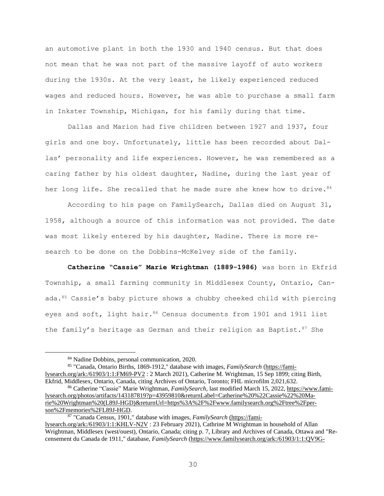an automotive plant in both the 1930 and 1940 census. But that does not mean that he was not part of the massive layoff of auto workers during the 1930s. At the very least, he likely experienced reduced wages and reduced hours. However, he was able to purchase a small farm in Inkster Township, Michigan, for his family during that time.

Dallas and Marion had five children between 1927 and 1937, four girls and one boy. Unfortunately, little has been recorded about Dallas' personality and life experiences. However, he was remembered as a caring father by his oldest daughter, Nadine, during the last year of her long life. She recalled that he made sure she knew how to drive.  $84$ 

According to his page on FamilySearch, Dallas died on August 31, 1958, although a source of this information was not provided. The date was most likely entered by his daughter, Nadine. There is more research to be done on the Dobbins-McKelvey side of the family.

**Catherine "Cassie" Marie Wrightman (1889-1986)** was born in Ekfrid Township, a small farming community in Middlesex County, Ontario, Canada.<sup>85</sup> Cassie's baby picture shows a chubby cheeked child with piercing eyes and soft, light hair.<sup>86</sup> Census documents from 1901 and 1911 list the family's heritage as German and their religion as Baptist.<sup>87</sup> She

<sup>87</sup> "Canada Census, 1901," database with images, *FamilySearch* [\(https://fami-](file:///C:/Users/chris/Desktop/Family%20History/Final%20Project/(https:/familysearch.org/ark:/61903/1:1:KHLV-N2V)

<sup>84</sup> Nadine Dobbins, personal communication, 2020.

<sup>85</sup> "Canada, Ontario Births, 1869-1912," database with images, *FamilySearch* [\(https://fami](https://familysearch.org/ark:/61903/1:1:FM69-PV2)[lysearch.org/ark:/61903/1:1:FM69-PV2](https://familysearch.org/ark:/61903/1:1:FM69-PV2) : 2 March 2021), Catherine M. Wrightman, 15 Sep 1899; citing Birth, Ekfrid, Middlesex, Ontario, Canada, citing Archives of Ontario, Toronto; FHL microfilm 2,021,632.

<sup>86</sup> Catherine "Cassie" Marie Wrightman, *FamilySearch,* last modified March 15, 2022, [https://www.fami](https://www.familysearch.org/photos/artifacts/143187819?p=43959810&returnLabel=Catherine%20%22Cassie%22%20Marie%20Wrightman%20(L89J-HGD)&returnUrl=https%3A%2F%2Fwww.familysearch.org%2Ftree%2Fperson%2Fmemories%2FL89J-HGD)[lysearch.org/photos/artifacts/143187819?p=43959810&returnLabel=Catherine%20%22Cassie%22%20Ma](https://www.familysearch.org/photos/artifacts/143187819?p=43959810&returnLabel=Catherine%20%22Cassie%22%20Marie%20Wrightman%20(L89J-HGD)&returnUrl=https%3A%2F%2Fwww.familysearch.org%2Ftree%2Fperson%2Fmemories%2FL89J-HGD)[rie%20Wrightman%20\(L89J-HGD\)&returnUrl=https%3A%2F%2Fwww.familysearch.org%2Ftree%2Fper](https://www.familysearch.org/photos/artifacts/143187819?p=43959810&returnLabel=Catherine%20%22Cassie%22%20Marie%20Wrightman%20(L89J-HGD)&returnUrl=https%3A%2F%2Fwww.familysearch.org%2Ftree%2Fperson%2Fmemories%2FL89J-HGD)[son%2Fmemories%2FL89J-HGD.](https://www.familysearch.org/photos/artifacts/143187819?p=43959810&returnLabel=Catherine%20%22Cassie%22%20Marie%20Wrightman%20(L89J-HGD)&returnUrl=https%3A%2F%2Fwww.familysearch.org%2Ftree%2Fperson%2Fmemories%2FL89J-HGD)

[lysearch.org/ark:/61903/1:1:KHLV-N2V](file:///C:/Users/chris/Desktop/Family%20History/Final%20Project/(https:/familysearch.org/ark:/61903/1:1:KHLV-N2V) : 23 February 2021), Cathrine M Wrightman in household of Allan Wrightman, Middlesex (west/ouest), Ontario, Canada; citing p. 7, Library and Archives of Canada, Ottawa and "Recensement du Canada de 1911," database, *FamilySearch* [\(https://www.familysearch.org/ark:/61903/1:1:QV9G-](https://www.familysearch.org/ark:/61903/1:1:QV9G-T82C)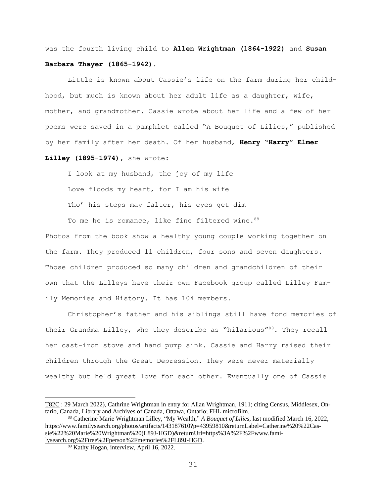was the fourth living child to **Allen Wrightman (1864-1922)** and **Susan Barbara Thayer (1865-1942)**.

Little is known about Cassie's life on the farm during her childhood, but much is known about her adult life as a daughter, wife, mother, and grandmother. Cassie wrote about her life and a few of her poems were saved in a pamphlet called "A Bouquet of Lilies," published by her family after her death. Of her husband, **Henry "Harry" Elmer Lilley (1895-1974),** she wrote:

I look at my husband, the joy of my life Love floods my heart, for I am his wife Tho' his steps may falter, his eyes get dim

To me he is romance, like fine filtered wine. 88

Photos from the book show a healthy young couple working together on the farm. They produced 11 children, four sons and seven daughters. Those children produced so many children and grandchildren of their own that the Lilleys have their own Facebook group called Lilley Family Memories and History. It has 104 members.

Christopher's father and his siblings still have fond memories of their Grandma Lilley, who they describe as "hilarious"<sup>89</sup>. They recall her cast-iron stove and hand pump sink. Cassie and Harry raised their children through the Great Depression. They were never materially wealthy but held great love for each other. Eventually one of Cassie

[T82C](https://www.familysearch.org/ark:/61903/1:1:QV9G-T82C) : 29 March 2022), Cathrine Wrightman in entry for Allan Wrightman, 1911; citing Census, Middlesex, Ontario, Canada, Library and Archives of Canada, Ottawa, Ontario; FHL microfilm.

<sup>88</sup> Catherine Marie Wrightman Lilley, "My Wealth," *A Bouquet of Lilies,* last modified March 16, 2022, [https://www.familysearch.org/photos/artifacts/143187610?p=43959810&returnLabel=Catherine%20%22Cas](https://www.familysearch.org/photos/artifacts/143187610?p=43959810&returnLabel=Catherine%20%22Cassie%22%20Marie%20Wrightman%20(L89J-HGD)&returnUrl=https%3A%2F%2Fwww.familysearch.org%2Ftree%2Fperson%2Fmemories%2FL89J-HGD)[sie%22%20Marie%20Wrightman%20\(L89J-HGD\)&returnUrl=https%3A%2F%2Fwww.fami](https://www.familysearch.org/photos/artifacts/143187610?p=43959810&returnLabel=Catherine%20%22Cassie%22%20Marie%20Wrightman%20(L89J-HGD)&returnUrl=https%3A%2F%2Fwww.familysearch.org%2Ftree%2Fperson%2Fmemories%2FL89J-HGD)[lysearch.org%2Ftree%2Fperson%2Fmemories%2FL89J-HGD.](https://www.familysearch.org/photos/artifacts/143187610?p=43959810&returnLabel=Catherine%20%22Cassie%22%20Marie%20Wrightman%20(L89J-HGD)&returnUrl=https%3A%2F%2Fwww.familysearch.org%2Ftree%2Fperson%2Fmemories%2FL89J-HGD)

<sup>89</sup> Kathy Hogan, interview, April 16, 2022.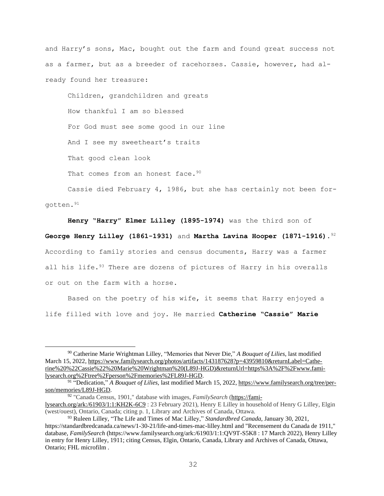and Harry's sons, Mac, bought out the farm and found great success not as a farmer, but as a breeder of racehorses. Cassie, however, had already found her treasure:

Children, grandchildren and greats How thankful I am so blessed For God must see some good in our line And I see my sweetheart's traits That good clean look That comes from an honest face. 90

Cassie died February 4, 1986, but she has certainly not been forgotten. 91

**Henry "Harry" Elmer Lilley (1895-1974)** was the third son of

**George Henry Lilley (1861-1931)** and **Martha Lavina Hooper (1871-1916)**. 92 According to family stories and census documents, Harry was a farmer all his life. $93$  There are dozens of pictures of Harry in his overalls or out on the farm with a horse.

Based on the poetry of his wife, it seems that Harry enjoyed a life filled with love and joy. He married **Catherine "Cassie" Marie**

<sup>90</sup> Catherine Marie Wrightman Lilley, "Memories that Never Die," *A Bouquet of Lilies,* last modified March 15, 2022, [https://www.familysearch.org/photos/artifacts/143187628?p=43959810&returnLabel=Cathe](https://www.familysearch.org/photos/artifacts/143187628?p=43959810&returnLabel=Catherine%20%22Cassie%22%20Marie%20Wrightman%20(L89J-HGD)&returnUrl=https%3A%2F%2Fwww.familysearch.org%2Ftree%2Fperson%2Fmemories%2FL89J-HGD)[rine%20%22Cassie%22%20Marie%20Wrightman%20\(L89J-HGD\)&returnUrl=https%3A%2F%2Fwww.fami](https://www.familysearch.org/photos/artifacts/143187628?p=43959810&returnLabel=Catherine%20%22Cassie%22%20Marie%20Wrightman%20(L89J-HGD)&returnUrl=https%3A%2F%2Fwww.familysearch.org%2Ftree%2Fperson%2Fmemories%2FL89J-HGD)[lysearch.org%2Ftree%2Fperson%2Fmemories%2FL89J-HGD.](https://www.familysearch.org/photos/artifacts/143187628?p=43959810&returnLabel=Catherine%20%22Cassie%22%20Marie%20Wrightman%20(L89J-HGD)&returnUrl=https%3A%2F%2Fwww.familysearch.org%2Ftree%2Fperson%2Fmemories%2FL89J-HGD)

<sup>91</sup> "Dedication," *A Bouquet of Lilies,* last modified March 15, 2022, [https://www.familysearch.org/tree/per](https://www.familysearch.org/tree/person/memories/L89J-HGD)[son/memories/L89J-HGD.](https://www.familysearch.org/tree/person/memories/L89J-HGD)

<sup>92</sup> "Canada Census, 1901," database with images, *FamilySearch* [\(https://fami-](https://familysearch.org/ark:/61903/1:1:KH2K-6C9)

[lysearch.org/ark:/61903/1:1:KH2K-6C9](https://familysearch.org/ark:/61903/1:1:KH2K-6C9) : 23 February 2021), Henry E Lilley in household of Henry G Lilley, Elgin (west/ouest), Ontario, Canada; citing p. 1, Library and Archives of Canada, Ottawa.

<sup>93</sup> Ruleen Lilley, "The Life and Times of Mac Lilley," *Standardbred Canada,* January 30, 2021, https://standardbredcanada.ca/news/1-30-21/life-and-times-mac-lilley.html and "Recensement du Canada de 1911," database, *FamilySearch* (https://www.familysearch.org/ark:/61903/1:1:QV9T-S5K8 : 17 March 2022), Henry Lilley in entry for Henry Lilley, 1911; citing Census, Elgin, Ontario, Canada, Library and Archives of Canada, Ottawa, Ontario; FHL microfilm .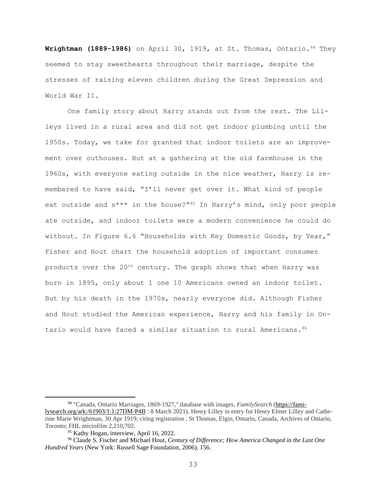**Wrightman (1889-1986)** on April 30, 1919, at St. Thomas, Ontario. <sup>94</sup> They seemed to stay sweethearts throughout their marriage, despite the stresses of raising eleven children during the Great Depression and World War II.

One family story about Harry stands out from the rest. The Lilleys lived in a rural area and did not get indoor plumbing until the 1950s. Today, we take for granted that indoor toilets are an improvement over outhouses. But at a gathering at the old farmhouse in the 1960s, with everyone eating outside in the nice weather, Harry is remembered to have said, "I'll never get over it. What kind of people eat outside and s\*\*\* in the house?"<sup>95</sup> In Harry's mind, only poor people ate outside, and indoor toilets were a modern convenience he could do without. In Figure 6.6 "Households with Key Domestic Goods, by Year," Fisher and Hout chart the household adoption of important consumer products over the 20<sup>th</sup> century. The graph shows that when Harry was born in 1895, only about 1 one 10 Americans owned an indoor toilet. But by his death in the 1970s, nearly everyone did. Although Fisher and Hout studied the American experience, Harry and his family in Ontario would have faced a similar situation to rural Americans.<sup>96</sup>

<sup>94</sup> "Canada, Ontario Marriages, 1869-1927," database with images, *FamilySearch* [\(https://fami](https://familysearch.org/ark:/61903/1:1:27DM-P4B)[lysearch.org/ark:/61903/1:1:27DM-P4B](https://familysearch.org/ark:/61903/1:1:27DM-P4B) : 8 March 2021), Henry Lilley in entry for Henry Elmer Lilley and Catherine Marie Wrightman, 30 Apr 1919; citing registration , St Thomas, Elgin, Ontario, Canada, Archives of Ontario, Toronto; FHL microfilm 2,210,702.

<sup>&</sup>lt;sup>95</sup> Kathy Hogan, interview, April 16, 2022.

<sup>96</sup> Claude S. Fischer and Michael Hout, *Century of Difference; How America Changed in the Last One Hundred Years* (New York: Russell Sage Foundation, 2006), 156.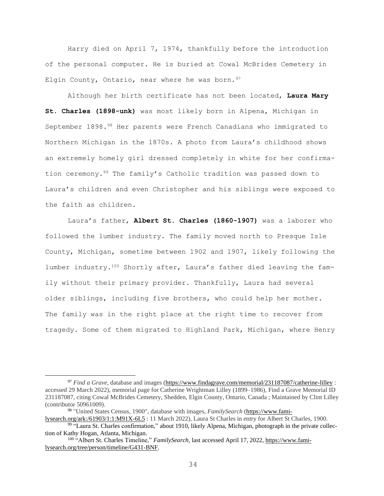Harry died on April 7, 1974, thankfully before the introduction of the personal computer. He is buried at Cowal McBrides Cemetery in Elgin County, Ontario, near where he was born.  $97$ 

Although her birth certificate has not been located, **Laura Mary St. Charles (1898-unk)** was most likely born in Alpena, Michigan in September 1898.<sup>98</sup> Her parents were French Canadians who immigrated to Northern Michigan in the 1870s. A photo from Laura's childhood shows an extremely homely girl dressed completely in white for her confirmation ceremony.<sup>99</sup> The family's Catholic tradition was passed down to Laura's children and even Christopher and his siblings were exposed to the faith as children.

Laura's father, **Albert St. Charles (1860-1907)** was a laborer who followed the lumber industry. The family moved north to Presque Isle County, Michigan, sometime between 1902 and 1907, likely following the lumber industry.<sup>100</sup> Shortly after, Laura's father died leaving the family without their primary provider. Thankfully, Laura had several older siblings, including five brothers, who could help her mother. The family was in the right place at the right time to recover from tragedy. Some of them migrated to Highland Park, Michigan, where Henry

<sup>97</sup> *Find a Grave*, database and images [\(https://www.findagrave.com/memorial/231187087/catherine-lilley](https://www.findagrave.com/memorial/231187087/catherine-lilley) : accessed 29 March 2022), memorial page for Catherine Wrightman Lilley (1899–1986), Find a Grave Memorial ID 231187087, citing Cowal McBrides Cemetery, Shedden, Elgin County, Ontario, Canada ; Maintained by Clint Lilley (contributor 50961009).

<sup>98</sup> "United States Census, 1900", database with images, *FamilySearch* [\(https://www.fami-](https://www.familysearch.org/ark:/61903/1:1:M91X-6L5)

[lysearch.org/ark:/61903/1:1:M91X-6L5](https://www.familysearch.org/ark:/61903/1:1:M91X-6L5) : 11 March 2022), Laura St Charles in entry for Albert St Charles, 1900. <sup>99</sup> "Laura St. Charles confirmation," about 1910, likely Alpena, Michigan, photograph in the private collection of Kathy Hogan, Atlanta, Michigan.

<sup>100</sup> "Albert St. Charles Timeline," *FamilySearch,* last accessed April 17, 2022, [https://www.fami](https://www.familysearch.org/tree/person/timeline/G431-BNF)[lysearch.org/tree/person/timeline/G431-BNF.](https://www.familysearch.org/tree/person/timeline/G431-BNF)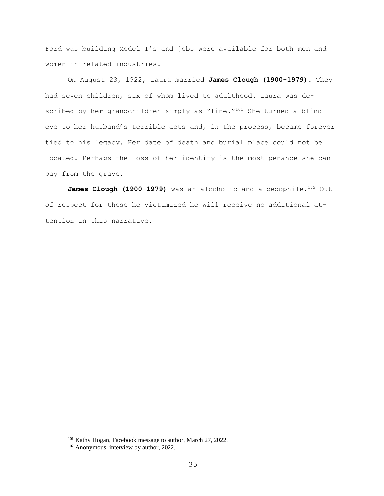Ford was building Model T's and jobs were available for both men and women in related industries.

On August 23, 1922, Laura married **James Clough (1900-1979)**. They had seven children, six of whom lived to adulthood. Laura was described by her grandchildren simply as "fine."<sup>101</sup> She turned a blind eye to her husband's terrible acts and, in the process, became forever tied to his legacy. Her date of death and burial place could not be located. Perhaps the loss of her identity is the most penance she can pay from the grave.

James Clough (1900-1979) was an alcoholic and a pedophile.<sup>102</sup> Out of respect for those he victimized he will receive no additional attention in this narrative.

<sup>&</sup>lt;sup>101</sup> Kathy Hogan, Facebook message to author, March 27, 2022.

<sup>102</sup> Anonymous, interview by author, 2022.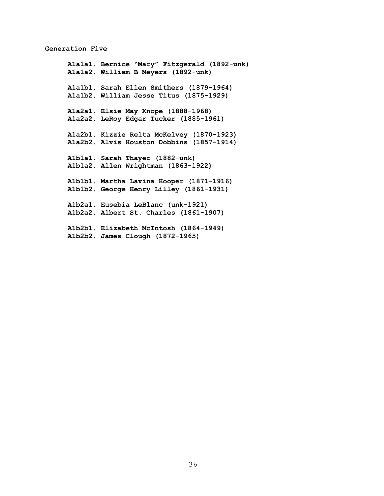#### **Generation Five**

**A1a1a1. Bernice "Mary" Fitzgerald (1892-unk) A1a1a2. William B Meyers (1892-unk) A1a1b1. Sarah Ellen Smithers (1879-1964) A1a1b2. William Jesse Titus (1875-1929) A1a2a1. Elsie May Knope (1888-1968) A1a2a2. LeRoy Edgar Tucker (1885-1961) A1a2b1. Kizzie Relta McKelvey (1870-1923) A1a2b2. Alvis Houston Dobbins (1857-1914) A1b1a1. Sarah Thayer (1882-unk) A1b1a2. Allen Wrightman (1863-1922) A1b1b1. Martha Lavina Hooper (1871-1916) A1b1b2. George Henry Lilley (1861-1931) A1b2a1. Eusebia LeBlanc (unk-1921) A1b2a2. Albert St. Charles (1861-1907) A1b2b1. Elizabeth McIntosh (1864-1949) A1b2b2. James Clough (1872-1965)**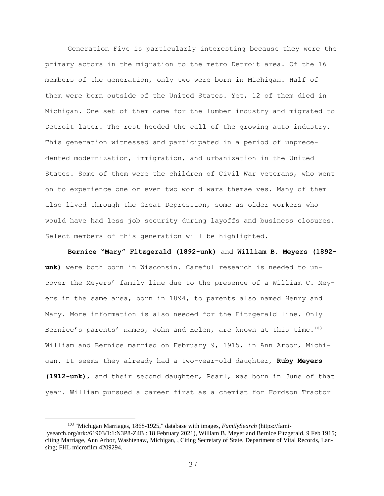Generation Five is particularly interesting because they were the primary actors in the migration to the metro Detroit area. Of the 16 members of the generation, only two were born in Michigan. Half of them were born outside of the United States. Yet, 12 of them died in Michigan. One set of them came for the lumber industry and migrated to Detroit later. The rest heeded the call of the growing auto industry. This generation witnessed and participated in a period of unprecedented modernization, immigration, and urbanization in the United States. Some of them were the children of Civil War veterans, who went on to experience one or even two world wars themselves. Many of them also lived through the Great Depression, some as older workers who would have had less job security during layoffs and business closures. Select members of this generation will be highlighted.

**Bernice "Mary" Fitzgerald (1892-unk)** and **William B. Meyers (1892 unk)** were both born in Wisconsin. Careful research is needed to uncover the Meyers' family line due to the presence of a William C. Meyers in the same area, born in 1894, to parents also named Henry and Mary. More information is also needed for the Fitzgerald line. Only Bernice's parents' names, John and Helen, are known at this time. $103$ William and Bernice married on February 9, 1915, in Ann Arbor, Michigan. It seems they already had a two-year-old daughter, **Ruby Meyers (1912-unk)**, and their second daughter, Pearl, was born in June of that year. William pursued a career first as a chemist for Fordson Tractor

<sup>103</sup> "Michigan Marriages, 1868-1925," database with images, *FamilySearch* [\(https://fami](https://familysearch.org/ark:/61903/1:1:N3P8-Z4B)[lysearch.org/ark:/61903/1:1:N3P8-Z4B](https://familysearch.org/ark:/61903/1:1:N3P8-Z4B) : 18 February 2021), William B. Meyer and Bernice Fitzgerald, 9 Feb 1915; citing Marriage, Ann Arbor, Washtenaw, Michigan, , Citing Secretary of State, Department of Vital Records, Lansing; FHL microfilm 4209294.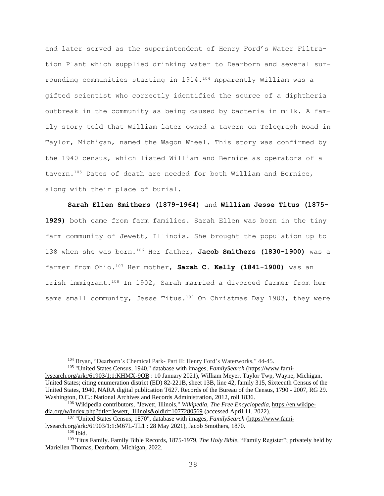and later served as the superintendent of Henry Ford's Water Filtration Plant which supplied drinking water to Dearborn and several surrounding communities starting in 1914. <sup>104</sup> Apparently William was a gifted scientist who correctly identified the source of a diphtheria outbreak in the community as being caused by bacteria in milk. A family story told that William later owned a tavern on Telegraph Road in Taylor, Michigan, named the Wagon Wheel. This story was confirmed by the 1940 census, which listed William and Bernice as operators of a tavern.<sup>105</sup> Dates of death are needed for both William and Bernice, along with their place of burial.

**Sarah Ellen Smithers (1879-1964)** and **William Jesse Titus (1875- 1929)** both came from farm families. Sarah Ellen was born in the tiny farm community of Jewett, Illinois. She brought the population up to 138 when she was born.<sup>106</sup> Her father, **Jacob Smithers (1830-1900)** was a farmer from Ohio.<sup>107</sup> Her mother, **Sarah C. Kelly (1841-1900)** was an Irish immigrant.<sup>108</sup> In 1902, Sarah married a divorced farmer from her same small community, Jesse Titus.<sup>109</sup> On Christmas Day 1903, they were

<sup>104</sup> Bryan, "Dearborn's Chemical Park- Part II: Henry Ford's Waterworks," 44-45.

<sup>105</sup> "United States Census, 1940," database with images, *FamilySearch* [\(https://www.fami](https://www.familysearch.org/ark:/61903/1:1:KHMX-9QB)[lysearch.org/ark:/61903/1:1:KHMX-9QB](https://www.familysearch.org/ark:/61903/1:1:KHMX-9QB) : 10 January 2021), William Meyer, Taylor Twp, Wayne, Michigan, United States; citing enumeration district (ED) 82-221B, sheet 13B, line 42, family 315, Sixteenth Census of the United States, 1940, NARA digital publication T627. Records of the Bureau of the Census, 1790 - 2007, RG 29. Washington, D.C.: National Archives and Records Administration, 2012, roll 1836.

<sup>106</sup> Wikipedia contributors, "Jewett, Illinois," *Wikipedia, The Free Encyclopedia,* [https://en.wikipe](https://en.wikipedia.org/w/index.php?title=Jewett,_Illinois&oldid=1077280569)[dia.org/w/index.php?title=Jewett,\\_Illinois&oldid=1077280569](https://en.wikipedia.org/w/index.php?title=Jewett,_Illinois&oldid=1077280569) (accessed April 11, 2022).

<sup>107</sup> "United States Census, 1870", database with images, *FamilySearch* [\(https://www.fami-](https://www.familysearch.org/ark:/61903/1:1:M67L-TL1)

[lysearch.org/ark:/61903/1:1:M67L-TL1](https://www.familysearch.org/ark:/61903/1:1:M67L-TL1) : 28 May 2021), Jacob Smothers, 1870.

 $108$  Ibid.

<sup>109</sup> Titus Family. Family Bible Records, 1875-1979, *The Holy Bible,* "Family Register"; privately held by Mariellen Thomas, Dearborn, Michigan, 2022.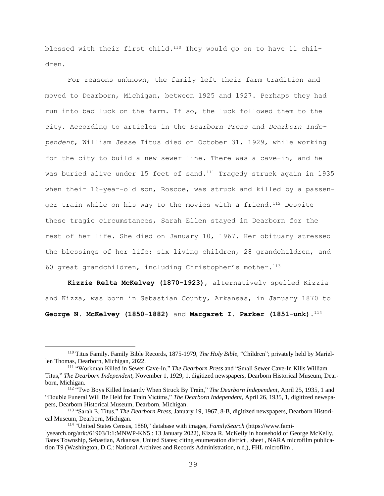blessed with their first child.<sup>110</sup> They would go on to have 11 children.

For reasons unknown, the family left their farm tradition and moved to Dearborn, Michigan, between 1925 and 1927. Perhaps they had run into bad luck on the farm. If so, the luck followed them to the city. According to articles in the *Dearborn Press* and *Dearborn Independent*, William Jesse Titus died on October 31, 1929, while working for the city to build a new sewer line. There was a cave-in, and he was buried alive under 15 feet of sand.<sup>111</sup> Tragedy struck again in 1935 when their 16-year-old son, Roscoe, was struck and killed by a passenger train while on his way to the movies with a friend.<sup>112</sup> Despite these tragic circumstances, Sarah Ellen stayed in Dearborn for the rest of her life. She died on January 10, 1967. Her obituary stressed the blessings of her life: six living children, 28 grandchildren, and 60 great grandchildren, including Christopher's mother. $113$ 

**Kizzie Relta McKelvey (1870-1923)**, alternatively spelled Kizzia and Kizza, was born in Sebastian County, Arkansas, in January 1870 to **George N. McKelvey (1850-1882)** and **Margaret I. Parker (1851-unk)**. 114

<sup>110</sup> Titus Family. Family Bible Records, 1875-1979, *The Holy Bible,* "Children"; privately held by Mariellen Thomas, Dearborn, Michigan, 2022.

<sup>111</sup> "Workman Killed in Sewer Cave-In," *The Dearborn Press* and "Small Sewer Cave-In Kills William Titus," *The Dearborn Independent,* November 1, 1929, 1, digitized newspapers, Dearborn Historical Museum, Dearborn, Michigan.

<sup>112</sup> "Two Boys Killed Instantly When Struck By Train," *The Dearborn Independent,* April 25, 1935, 1 and "Double Funeral Will Be Held for Train Victims," *The Dearborn Independent,* April 26, 1935, 1, digitized newspapers, Dearborn Historical Museum, Dearborn, Michigan.

<sup>113</sup> "Sarah E. Titus," *The Dearborn Press,* January 19, 1967, 8-B, digitized newspapers, Dearborn Historical Museum, Dearborn, Michigan.

<sup>114</sup> "United States Census, 1880," database with images, *FamilySearch* [\(https://www.fami-](https://www.familysearch.org/ark:/61903/1:1:MNWP-KN5)

[lysearch.org/ark:/61903/1:1:MNWP-KN5](https://www.familysearch.org/ark:/61903/1:1:MNWP-KN5) : 13 January 2022), Kizza R. McKelly in household of George McKelly, Bates Township, Sebastian, Arkansas, United States; citing enumeration district , sheet , NARA microfilm publication T9 (Washington, D.C.: National Archives and Records Administration, n.d.), FHL microfilm .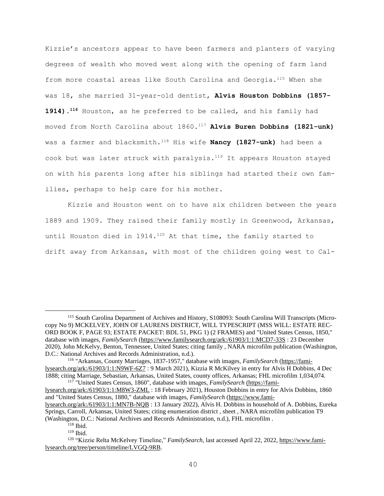Kizzie's ancestors appear to have been farmers and planters of varying degrees of wealth who moved west along with the opening of farm land from more coastal areas like South Carolina and Georgia.<sup>115</sup> When she was 18, she married 31-year-old dentist, **Alvis Houston Dobbins (1857- 1914).<sup>116</sup>** Houston, as he preferred to be called, and his family had moved from North Carolina about 1860. <sup>117</sup> **Alvis Buren Dobbins (1821-unk)** was a farmer and blacksmith.<sup>118</sup> His wife **Nancy (1827-unk)** had been a cook but was later struck with paralysis.<sup>119</sup> It appears Houston stayed on with his parents long after his siblings had started their own families, perhaps to help care for his mother.

Kizzie and Houston went on to have six children between the years 1889 and 1909. They raised their family mostly in Greenwood, Arkansas, until Houston died in 1914.<sup>120</sup> At that time, the family started to drift away from Arkansas, with most of the children going west to Cal-

<sup>117</sup> "United States Census, 1860", database with images, *FamilySearch* [\(https://fami-]((https:/familysearch.org/ark:/61903/1:1:M8W3-ZML)

[lysearch.org/ark:/61903/1:1:M8W3-ZML]((https:/familysearch.org/ark:/61903/1:1:M8W3-ZML) : 18 February 2021), Houston Dobbins in entry for Alvis Dobbins, 1860 and "United States Census, 1880," database with images, *FamilySearch* [\(https://www.fami-](https://www.familysearch.org/ark:/61903/1:1:MN7B-NQB)

<sup>115</sup> South Carolina Department of Archives and History, S108093: South Carolina Will Transcripts (Microcopy No 9) MCKELVEY, JOHN OF LAURENS DISTRICT, WILL TYPESCRIPT (MSS WILL: ESTATE REC-ORD BOOK F, PAGE 93; ESTATE PACKET: BDL 51, PKG 1) (2 FRAMES) and "United States Census, 1850," database with images, *FamilySearch* [\(https://www.familysearch.org/ark:/61903/1:1:MCD7-33S](https://www.familysearch.org/ark:/61903/1:1:MCD7-33S) : 23 December 2020), John McKelvy, Benton, Tennessee, United States; citing family , NARA microfilm publication (Washington, D.C.: National Archives and Records Administration, n.d.).

<sup>116</sup> "Arkansas, County Marriages, 1837-1957," database with images, *FamilySearch* [\(https://fami](https://familysearch.org/ark:/61903/1:1:N9WF-6Z7)[lysearch.org/ark:/61903/1:1:N9WF-6Z7](https://familysearch.org/ark:/61903/1:1:N9WF-6Z7) : 9 March 2021), Kizzia R McKilvey in entry for Alvis H Dobbins, 4 Dec 1888; citing Marriage, Sebastian, Arkansas, United States, county offices, Arkansas; FHL microfilm 1,034,074.

[lysearch.org/ark:/61903/1:1:MN7B-NQB](https://www.familysearch.org/ark:/61903/1:1:MN7B-NQB) : 13 January 2022), Alvis H. Dobbins in household of A. Dobbins, Eureka Springs, Carroll, Arkansas, United States; citing enumeration district , sheet , NARA microfilm publication T9 (Washington, D.C.: National Archives and Records Administration, n.d.), FHL microfilm .

 $118$  Ibid.

<sup>119</sup> Ibid.

<sup>&</sup>lt;sup>120</sup> "Kizzie Relta McKelvey Timeline," *FamilySearch*, last accessed April 22, 2022, [https://www.fami](https://www.familysearch.org/tree/person/timeline/LVGQ-9RB)[lysearch.org/tree/person/timeline/LVGQ-9RB.](https://www.familysearch.org/tree/person/timeline/LVGQ-9RB)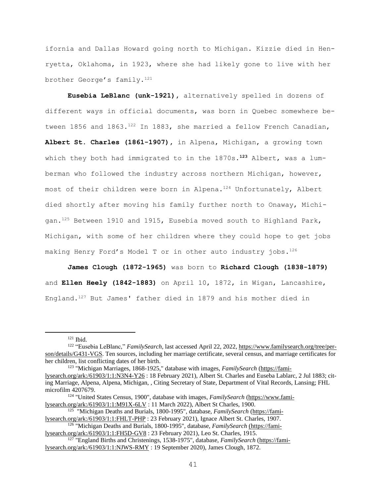ifornia and Dallas Howard going north to Michigan. Kizzie died in Henryetta, Oklahoma, in 1923, where she had likely gone to live with her brother George's family.<sup>121</sup>

**Eusebia LeBlanc (unk-1921),** alternatively spelled in dozens of different ways in official documents, was born in Quebec somewhere between 1856 and 1863. $^{122}$  In 1883, she married a fellow French Canadian, **Albert St. Charles (1861-1907),** in Alpena, Michigan, a growing town which they both had immigrated to in the 1870s**. <sup>123</sup>** Albert, was a lumberman who followed the industry across northern Michigan, however, most of their children were born in Alpena.<sup>124</sup> Unfortunately, Albert died shortly after moving his family further north to Onaway, Michigan.<sup>125</sup> Between 1910 and 1915, Eusebia moved south to Highland Park, Michigan, with some of her children where they could hope to get jobs making Henry Ford's Model T or in other auto industry jobs. 126

**James Clough (1872-1965)** was born to **Richard Clough (1838-1879)** and **Ellen Heely (1842-1883)** on April 10, 1872, in Wigan, Lancashire, England. <sup>127</sup> But James' father died in 1879 and his mother died in

 $121$  Ibid.

<sup>122</sup> "Eusebia LeBlanc," *FamilySearch,* last accessed April 22, 2022, [https://www.familysearch.org/tree/per](https://www.familysearch.org/tree/person/details/G431-VGS)[son/details/G431-VGS.](https://www.familysearch.org/tree/person/details/G431-VGS) Ten sources, including her marriage certificate, several census, and marriage certificates for her children, list conflicting dates of her birth.

<sup>123</sup> "Michigan Marriages, 1868-1925," database with images, *FamilySearch* [\(https://fami](https://familysearch.org/ark:/61903/1:1:N3N4-Y26)[lysearch.org/ark:/61903/1:1:N3N4-Y26](https://familysearch.org/ark:/61903/1:1:N3N4-Y26) : 18 February 2021), Albert St. Charles and Euseba Lablarc, 2 Jul 1883; citing Marriage, Alpena, Alpena, Michigan, , Citing Secretary of State, Department of Vital Records, Lansing; FHL microfilm 4207679.

<sup>124</sup> "United States Census, 1900", database with images, *FamilySearch* [\(https://www.fami](https://www.familysearch.org/ark:/61903/1:1:M91X-6LV)[lysearch.org/ark:/61903/1:1:M91X-6LV](https://www.familysearch.org/ark:/61903/1:1:M91X-6LV) : 11 March 2022), Albert St Charles, 1900.

<sup>&</sup>lt;sup>125</sup> "Michigan Deaths and Burials, 1800-1995", database, *FamilySearch* [\(https://fami](https://familysearch.org/ark:/61903/1:1:FHLT-PHP)[lysearch.org/ark:/61903/1:1:FHLT-PHP](https://familysearch.org/ark:/61903/1:1:FHLT-PHP) : 23 February 2021), Ignace Albert St. Charles, 1907.

<sup>126</sup> "Michigan Deaths and Burials, 1800-1995", database, *FamilySearch* [\(https://fami]((https:/familysearch.org/ark:/61903/1:1:FH5D-GV8)[lysearch.org/ark:/61903/1:1:FH5D-GV8]((https:/familysearch.org/ark:/61903/1:1:FH5D-GV8) : 23 February 2021), Leo St. Charles, 1915.

<sup>&</sup>lt;sup>127</sup> "England Births and Christenings, 1538-1975", database, *FamilySearch* [\(https://fami](https://familysearch.org/ark:/61903/1:1:NJWS-RMY)[lysearch.org/ark:/61903/1:1:NJWS-RMY](https://familysearch.org/ark:/61903/1:1:NJWS-RMY) : 19 September 2020), James Clough, 1872.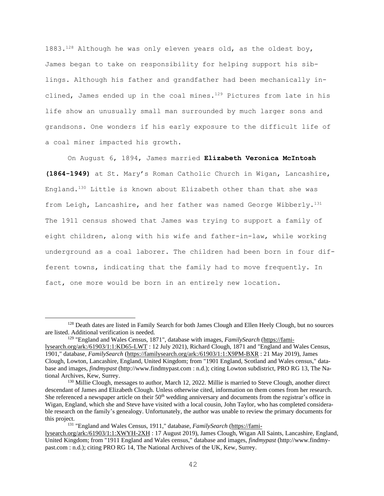1883. $128$  Although he was only eleven years old, as the oldest boy, James began to take on responsibility for helping support his siblings. Although his father and grandfather had been mechanically inclined, James ended up in the coal mines. $129$  Pictures from late in his life show an unusually small man surrounded by much larger sons and grandsons. One wonders if his early exposure to the difficult life of a coal miner impacted his growth.

On August 6, 1894, James married **Elizabeth Veronica McIntosh (1864-1949)** at St. Mary's Roman Catholic Church in Wigan, Lancashire, England.<sup>130</sup> Little is known about Elizabeth other than that she was from Leigh, Lancashire, and her father was named George Wibberly. $1^{31}$ The 1911 census showed that James was trying to support a family of eight children, along with his wife and father-in-law, while working underground as a coal laborer. The children had been born in four different towns, indicating that the family had to move frequently. In fact, one more would be born in an entirely new location.

<sup>&</sup>lt;sup>128</sup> Death dates are listed in Family Search for both James Clough and Ellen Heely Clough, but no sources are listed. Additional verification is needed.

<sup>&</sup>lt;sup>129</sup> "England and Wales Census, 1871", database with images, *FamilySearch* [\(https://fami](https://familysearch.org/ark:/61903/1:1:KD65-LWT)[lysearch.org/ark:/61903/1:1:KD65-LWT](https://familysearch.org/ark:/61903/1:1:KD65-LWT) : 12 July 2021), Richard Clough, 1871 and "England and Wales Census,

<sup>1901,&</sup>quot; database, *FamilySearch* [\(https://familysearch.org/ark:/61903/1:1:X9PM-BXR](https://familysearch.org/ark:/61903/1:1:X9PM-BXR) : 21 May 2019), James Clough, Lowton, Lancashire, England, United Kingdom; from "1901 England, Scotland and Wales census," database and images, *findmypast* (http://www.findmypast.com : n.d.); citing Lowton subdistrict, PRO RG 13, The National Archives, Kew, Surrey.

<sup>&</sup>lt;sup>130</sup> Millie Clough, messages to author, March 12, 2022. Millie is married to Steve Clough, another direct descendant of James and Elizabeth Clough. Unless otherwise cited, information on them comes from her research. She referenced a newspaper article on their 50<sup>th</sup> wedding anniversary and documents from the registrar's office in Wigan, England, which she and Steve have visited with a local cousin, John Taylor, who has completed considerable research on the family's genealogy. Unfortunately, the author was unable to review the primary documents for this project.

<sup>&</sup>lt;sup>131</sup> "England and Wales Census, 1911," database, *FamilySearch* [\(https://fami-](https://familysearch.org/ark:/61903/1:1:XWYH-2XH)

[lysearch.org/ark:/61903/1:1:XWYH-2XH](https://familysearch.org/ark:/61903/1:1:XWYH-2XH) : 17 August 2019), James Clough, Wigan All Saints, Lancashire, England, United Kingdom; from "1911 England and Wales census," database and images, *findmypast* (http://www.findmypast.com : n.d.); citing PRO RG 14, The National Archives of the UK, Kew, Surrey.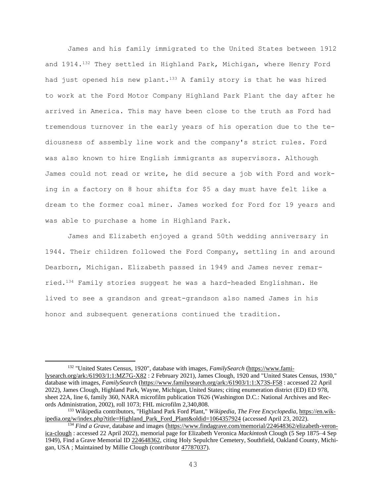James and his family immigrated to the United States between 1912 and 1914.<sup>132</sup> They settled in Highland Park, Michigan, where Henry Ford had just opened his new plant.<sup>133</sup> A family story is that he was hired to work at the Ford Motor Company Highland Park Plant the day after he arrived in America. This may have been close to the truth as Ford had tremendous turnover in the early years of his operation due to the tediousness of assembly line work and the company's strict rules. Ford was also known to hire English immigrants as supervisors. Although James could not read or write, he did secure a job with Ford and working in a factory on 8 hour shifts for \$5 a day must have felt like a dream to the former coal miner. James worked for Ford for 19 years and was able to purchase a home in Highland Park.

James and Elizabeth enjoyed a grand 50th wedding anniversary in 1944. Their children followed the Ford Company, settling in and around Dearborn, Michigan. Elizabeth passed in 1949 and James never remarried.<sup>134</sup> Family stories suggest he was a hard-headed Englishman. He lived to see a grandson and great-grandson also named James in his honor and subsequent generations continued the tradition.

<sup>132</sup> "United States Census, 1920", database with images, *FamilySearch* [\(https://www.fami](https://www.familysearch.org/ark:/61903/1:1:MZ7G-X82)[lysearch.org/ark:/61903/1:1:MZ7G-X82](https://www.familysearch.org/ark:/61903/1:1:MZ7G-X82) : 2 February 2021), James Clough, 1920 and "United States Census, 1930," database with images, *FamilySearch* [\(https://www.familysearch.org/ark:/61903/1:1:X73S-F58](https://www.familysearch.org/ark:/61903/1:1:X73S-F58) : accessed 22 April 2022), James Clough, Highland Park, Wayne, Michigan, United States; citing enumeration district (ED) ED 978, sheet 22A, line 6, family 360, NARA microfilm publication T626 (Washington D.C.: National Archives and Records Administration, 2002), roll 1073; FHL microfilm 2,340,808.

<sup>133</sup> Wikipedia contributors, "Highland Park Ford Plant," *Wikipedia, The Free Encyclopedia,* [https://en.wik](https://en.wikipedia.org/w/index.php?title=Highland_Park_Ford_Plant&oldid=1064357924)[ipedia.org/w/index.php?title=Highland\\_Park\\_Ford\\_Plant&oldid=1064357924](https://en.wikipedia.org/w/index.php?title=Highland_Park_Ford_Plant&oldid=1064357924) (accessed April 23, 2022).

<sup>&</sup>lt;sup>134</sup> *Find a Grave*, database and images [\(https://www.findagrave.com/memorial/224648362/elizabeth-veron](https://www.findagrave.com/memorial/224648362/elizabeth-veronica-clough)[ica-clough](https://www.findagrave.com/memorial/224648362/elizabeth-veronica-clough) : accessed 22 April 2022), memorial page for Elizabeth Veronica *Mackintosh* Clough (5 Sep 1875–4 Sep 1949), Find a Grave Memorial ID [224648362,](https://www.findagrave.com/memorial/224648362/elizabeth-veronica-clough) citing Holy Sepulchre Cemetery, Southfield, Oakland County, Michigan, USA ; Maintained by Millie Clough (contributor [47787037\)](https://www.findagrave.com/user/profile/47787037).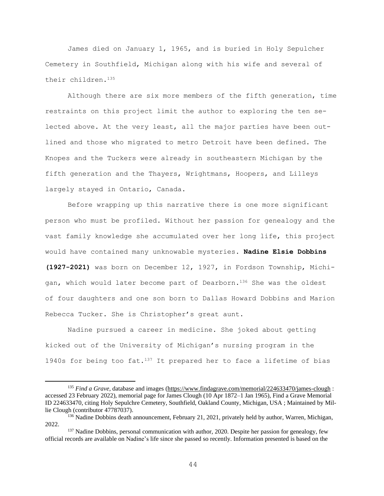James died on January 1, 1965, and is buried in Holy Sepulcher Cemetery in Southfield, Michigan along with his wife and several of their children.<sup>135</sup>

Although there are six more members of the fifth generation, time restraints on this project limit the author to exploring the ten selected above. At the very least, all the major parties have been outlined and those who migrated to metro Detroit have been defined. The Knopes and the Tuckers were already in southeastern Michigan by the fifth generation and the Thayers, Wrightmans, Hoopers, and Lilleys largely stayed in Ontario, Canada.

Before wrapping up this narrative there is one more significant person who must be profiled. Without her passion for genealogy and the vast family knowledge she accumulated over her long life, this project would have contained many unknowable mysteries. **Nadine Elsie Dobbins (1927-2021)** was born on December 12, 1927, in Fordson Township, Michigan, which would later become part of Dearborn.<sup>136</sup> She was the oldest of four daughters and one son born to Dallas Howard Dobbins and Marion Rebecca Tucker. She is Christopher's great aunt.

Nadine pursued a career in medicine. She joked about getting kicked out of the University of Michigan's nursing program in the 1940s for being too fat. $137$  It prepared her to face a lifetime of bias

<sup>135</sup> *Find a Grave*, database and images [\(https://www.findagrave.com/memorial/224633470/james-clough](https://www.findagrave.com/memorial/224633470/james-clough) : accessed 23 February 2022), memorial page for James Clough (10 Apr 1872–1 Jan 1965), Find a Grave Memorial ID 224633470, citing Holy Sepulchre Cemetery, Southfield, Oakland County, Michigan, USA ; Maintained by Millie Clough (contributor 47787037).

<sup>&</sup>lt;sup>136</sup> Nadine Dobbins death announcement, February 21, 2021, privately held by author, Warren, Michigan, 2022.

<sup>&</sup>lt;sup>137</sup> Nadine Dobbins, personal communication with author, 2020. Despite her passion for genealogy, few official records are available on Nadine's life since she passed so recently. Information presented is based on the